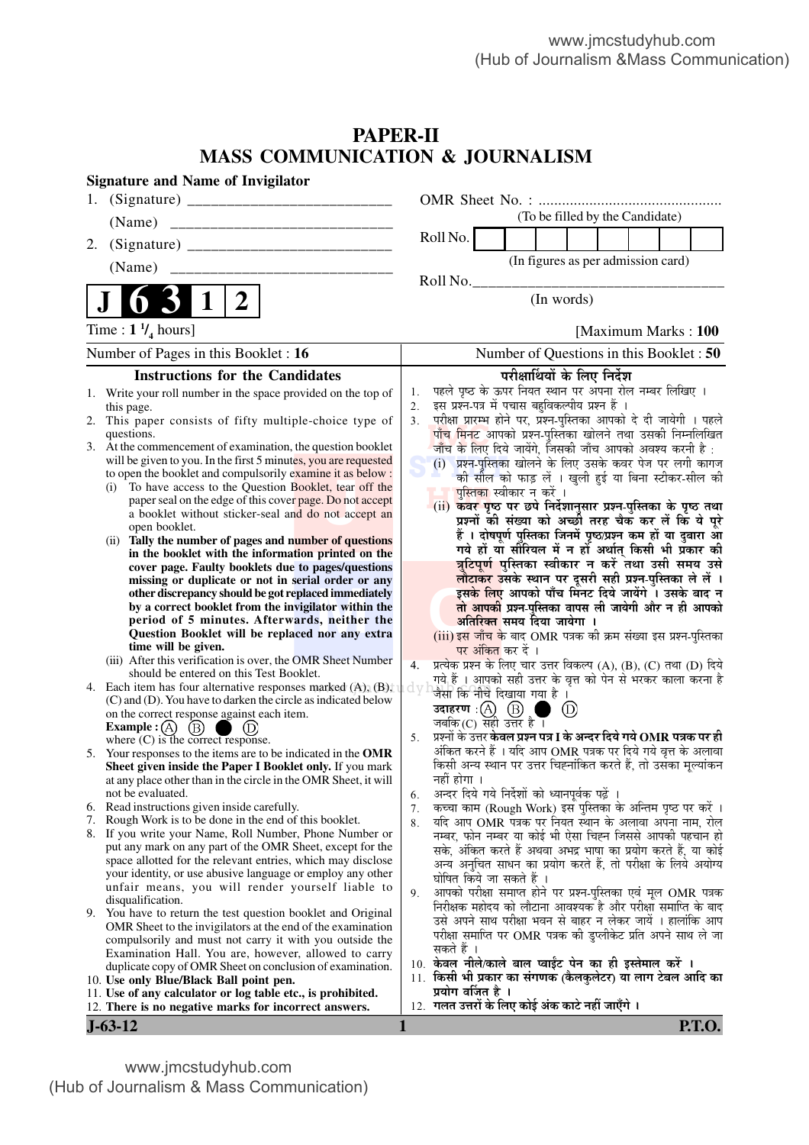# **PAPER-II MASS COMMUNICATION & JOURNALISM**

| <b>Signature and Name of Invigilator</b>                                                                                                                                                                                                                                                                                                                                                                                                                                                                                                                                                                                                                                                                                                                                                                                                                                                                                                            |                                                                                                                                                                                                                                                                                                                                                                                                                                                                                                                                                                                                                                                                                                                                                                                                                                                                                                                                                                                                                           |  |  |  |  |  |  |
|-----------------------------------------------------------------------------------------------------------------------------------------------------------------------------------------------------------------------------------------------------------------------------------------------------------------------------------------------------------------------------------------------------------------------------------------------------------------------------------------------------------------------------------------------------------------------------------------------------------------------------------------------------------------------------------------------------------------------------------------------------------------------------------------------------------------------------------------------------------------------------------------------------------------------------------------------------|---------------------------------------------------------------------------------------------------------------------------------------------------------------------------------------------------------------------------------------------------------------------------------------------------------------------------------------------------------------------------------------------------------------------------------------------------------------------------------------------------------------------------------------------------------------------------------------------------------------------------------------------------------------------------------------------------------------------------------------------------------------------------------------------------------------------------------------------------------------------------------------------------------------------------------------------------------------------------------------------------------------------------|--|--|--|--|--|--|
| 1.                                                                                                                                                                                                                                                                                                                                                                                                                                                                                                                                                                                                                                                                                                                                                                                                                                                                                                                                                  |                                                                                                                                                                                                                                                                                                                                                                                                                                                                                                                                                                                                                                                                                                                                                                                                                                                                                                                                                                                                                           |  |  |  |  |  |  |
|                                                                                                                                                                                                                                                                                                                                                                                                                                                                                                                                                                                                                                                                                                                                                                                                                                                                                                                                                     | (To be filled by the Candidate)                                                                                                                                                                                                                                                                                                                                                                                                                                                                                                                                                                                                                                                                                                                                                                                                                                                                                                                                                                                           |  |  |  |  |  |  |
| 2.                                                                                                                                                                                                                                                                                                                                                                                                                                                                                                                                                                                                                                                                                                                                                                                                                                                                                                                                                  | Roll No.                                                                                                                                                                                                                                                                                                                                                                                                                                                                                                                                                                                                                                                                                                                                                                                                                                                                                                                                                                                                                  |  |  |  |  |  |  |
|                                                                                                                                                                                                                                                                                                                                                                                                                                                                                                                                                                                                                                                                                                                                                                                                                                                                                                                                                     | (In figures as per admission card)                                                                                                                                                                                                                                                                                                                                                                                                                                                                                                                                                                                                                                                                                                                                                                                                                                                                                                                                                                                        |  |  |  |  |  |  |
|                                                                                                                                                                                                                                                                                                                                                                                                                                                                                                                                                                                                                                                                                                                                                                                                                                                                                                                                                     | Roll No.                                                                                                                                                                                                                                                                                                                                                                                                                                                                                                                                                                                                                                                                                                                                                                                                                                                                                                                                                                                                                  |  |  |  |  |  |  |
| $\mathbf{1}$<br>$\overline{2}$<br>$\boldsymbol{\theta}$                                                                                                                                                                                                                                                                                                                                                                                                                                                                                                                                                                                                                                                                                                                                                                                                                                                                                             | (In words)                                                                                                                                                                                                                                                                                                                                                                                                                                                                                                                                                                                                                                                                                                                                                                                                                                                                                                                                                                                                                |  |  |  |  |  |  |
| Time : $1 \frac{1}{4}$ hours]                                                                                                                                                                                                                                                                                                                                                                                                                                                                                                                                                                                                                                                                                                                                                                                                                                                                                                                       | [Maximum Marks: 100                                                                                                                                                                                                                                                                                                                                                                                                                                                                                                                                                                                                                                                                                                                                                                                                                                                                                                                                                                                                       |  |  |  |  |  |  |
| Number of Pages in this Booklet : 16                                                                                                                                                                                                                                                                                                                                                                                                                                                                                                                                                                                                                                                                                                                                                                                                                                                                                                                | Number of Questions in this Booklet: 50                                                                                                                                                                                                                                                                                                                                                                                                                                                                                                                                                                                                                                                                                                                                                                                                                                                                                                                                                                                   |  |  |  |  |  |  |
| <b>Instructions for the Candidates</b>                                                                                                                                                                                                                                                                                                                                                                                                                                                                                                                                                                                                                                                                                                                                                                                                                                                                                                              | परीक्षार्थियों के लिए निर्देश                                                                                                                                                                                                                                                                                                                                                                                                                                                                                                                                                                                                                                                                                                                                                                                                                                                                                                                                                                                             |  |  |  |  |  |  |
| 1. Write your roll number in the space provided on the top of<br>this page.<br>2. This paper consists of fifty multiple-choice type of<br>questions.<br>3. At the commencement of examination, the question booklet<br>will be given to you. In the first 5 minutes, you are requested<br>to open the booklet and compulsorily examine it as below :<br>To have access to the Question Booklet, tear off the<br>(i)<br>paper seal on the edge of this cover page. Do not accept<br>a booklet without sticker-seal and do not accept an<br>open booklet.<br>(ii) Tally the number of pages and number of questions<br>in the booklet with the information printed on the<br>cover page. Faulty booklets due to pages/questions<br>missing or duplicate or not in serial order or any<br>other discrepancy should be got replaced immediately<br>by a correct booklet from the invigilator within the<br>period of 5 minutes. Afterwards, neither the | पहले पृष्ठ के ऊपर नियत स्थान पर अपना रोल नम्बर लिखिए ।<br>1.<br>इस प्रश्न-पत्र में पचास बहुविकल्पीय प्रश्न हैं ।<br>2.<br>परीक्षा प्रारम्भ होने पर, प्रश्न-पुस्तिका आपको दे दी जायेगी । पहले<br>3 <sub>1</sub><br>पाँच मिनट आपको प्रश्न-पुस्तिका खोलने तथा उसकी निम्नलिखित<br>जाँच के लिए दिये जायेंगे, जिसकी जाँच आपको अवश्य करनी है :<br>(i) प्रश्न-पुस्तिका खोलने के लिए उसके कवर पेज पर लगी कागज<br>की सील को फाड़ लें । खुली हुई या बिना स्टीकर-सील की<br><mark>पस्तिका</mark> स्वीकार न करें ।<br>(ii) कवर पृष्ठ पर छपे निर्देशानुसार प्रश्न-पुस्तिका के पृष्ठ तथा<br>प्रश्नों की संख्या को अच्छी तरह चैक कर लें कि ये पूरे<br>हैं । दोषपूर्ण पुस्तिका जिनमें पृष्ठ/प्रश्न कम हों या दुबारा आ<br>गये हों यो सौरियल में न हों अर्थात् किसी भी प्रॅकार की<br>त्रुटिपूर्ण पुस्तिका स्वीकार न करें तथा उसी समय उसे<br>लौटाकर उसके स्थान पर दूसरी सही प्रश्न-पुस्तिका ले लें ।<br>इसके लिए आपको पाँच मिनट दिये जायेंगे । उसके बाद न<br>तो आपकी प्रश्न-पुस्तिका वापस ली जायेगी और न ही आपको<br>अतिरिक्त समय दिया जायेगा । |  |  |  |  |  |  |
| Question Booklet will be replaced nor any extra<br>time will be given.                                                                                                                                                                                                                                                                                                                                                                                                                                                                                                                                                                                                                                                                                                                                                                                                                                                                              | (iii) इस जाँच के बाद OMR पत्रक की क्रम संख्या इस प्रश्न-पुस्तिका<br>पर अंकित कर दें ।                                                                                                                                                                                                                                                                                                                                                                                                                                                                                                                                                                                                                                                                                                                                                                                                                                                                                                                                     |  |  |  |  |  |  |
| (iii) After this verification is over, the OMR Sheet Number<br>should be entered on this Test Booklet.<br>4. Each item has four alternative responses marked $(A)$ , $(B)$ ,<br>(C) and (D). You have to darken the circle as indicated below<br>on the correct response against each item.                                                                                                                                                                                                                                                                                                                                                                                                                                                                                                                                                                                                                                                         | प्रत्येक प्रश्न के लिए चार उत्तर विकल्प (A), (B), (C) तथा (D) दिये<br>$\overline{4}$ .<br>गये हैं । आपको सही उत्तर के वृत्त को पेन से भरकर काला करना है<br>dy l<br>जैसा कि नीचे दिखाया गया है।<br><b>उदाहरण</b> : $\overline{(\mathsf{A})}$ $\overline{(\mathsf{B})}$ ।<br>जबकि(C) सही उत्तर है ।<br>$\circledcirc$                                                                                                                                                                                                                                                                                                                                                                                                                                                                                                                                                                                                                                                                                                       |  |  |  |  |  |  |
| Example : $(\overline{A})$ (B)<br>(D)<br>where $(C)$ is the correct response.                                                                                                                                                                                                                                                                                                                                                                                                                                                                                                                                                                                                                                                                                                                                                                                                                                                                       | प्रश्नों के उत्तर <b>केवल प्रश्न पत्र I के अन्दर दिये गये OMR पत्रक पर ही</b><br>5.                                                                                                                                                                                                                                                                                                                                                                                                                                                                                                                                                                                                                                                                                                                                                                                                                                                                                                                                       |  |  |  |  |  |  |
| 5. Your responses to the items are to be indicated in the OMR<br>Sheet given inside the Paper I Booklet only. If you mark<br>at any place other than in the circle in the OMR Sheet, it will<br>not be evaluated.                                                                                                                                                                                                                                                                                                                                                                                                                                                                                                                                                                                                                                                                                                                                   | अंकित करने हैं । यदि आप OMR पत्रक पर दिये गये वृत्त के अलावा<br>किसी अन्य स्थान पर उत्तर चिह्नांकित करते हैं, तो उसका मूल्यांकन<br>नहीं होगा ।<br>अन्दर दिये गये निर्देशों को ध्यानपूर्वक पढ़ें<br>6.                                                                                                                                                                                                                                                                                                                                                                                                                                                                                                                                                                                                                                                                                                                                                                                                                     |  |  |  |  |  |  |
| 6. Read instructions given inside carefully.                                                                                                                                                                                                                                                                                                                                                                                                                                                                                                                                                                                                                                                                                                                                                                                                                                                                                                        | कच्चा काम (Rough Work) इस पुस्तिका के अन्तिम पृष्ठ पर करें ।<br>7.                                                                                                                                                                                                                                                                                                                                                                                                                                                                                                                                                                                                                                                                                                                                                                                                                                                                                                                                                        |  |  |  |  |  |  |
| Rough Work is to be done in the end of this booklet.<br>7.<br>8. If you write your Name, Roll Number, Phone Number or                                                                                                                                                                                                                                                                                                                                                                                                                                                                                                                                                                                                                                                                                                                                                                                                                               | यदि आप OMR पत्रक पर नियत स्थान के अलावा अपना नाम, रोल<br>8.                                                                                                                                                                                                                                                                                                                                                                                                                                                                                                                                                                                                                                                                                                                                                                                                                                                                                                                                                               |  |  |  |  |  |  |
| put any mark on any part of the OMR Sheet, except for the<br>space allotted for the relevant entries, which may disclose<br>your identity, or use abusive language or employ any other<br>unfair means, you will render yourself liable to<br>disqualification.                                                                                                                                                                                                                                                                                                                                                                                                                                                                                                                                                                                                                                                                                     | नम्बर, फोन नम्बर या कोई भी ऐसा चिह्न जिससे आपकी पहचान हो<br>सके, अंकित करते हैं अथवा अभद्र भाषा का प्रयोग करते हैं, या कोई<br>अन्य अनुचित साधन का प्रयोग करते हैं, तो परीक्षा के लिये अयोग्य<br>घोषित किये जा सकते हैं ।<br>आपको परीक्षा समाप्त होने पर प्रश्न-पुस्तिका एवं मूल OMR पत्रक<br>9.<br>निरीक्षक महोदय को लौटाना आवश्यक है और परीक्षा समाप्ति के बाद                                                                                                                                                                                                                                                                                                                                                                                                                                                                                                                                                                                                                                                           |  |  |  |  |  |  |
| 9. You have to return the test question booklet and Original<br>OMR Sheet to the invigilators at the end of the examination<br>compulsorily and must not carry it with you outside the<br>Examination Hall. You are, however, allowed to carry<br>duplicate copy of OMR Sheet on conclusion of examination.<br>10. Use only Blue/Black Ball point pen.                                                                                                                                                                                                                                                                                                                                                                                                                                                                                                                                                                                              | उसे अपने साथ परीक्षा भवन से बाहर न लेकर जायें । हालांकि आप<br>परीक्षा समाप्ति पर OMR पत्रक की डुप्लीकेट प्रति अपने साथ ले जा<br>सकते हैं ।<br>10. केवल नीले/काले बाल प्वाईंट पेन का ही इस्तेमाल करें ।<br>11. किसी भी प्रकार का संगणक (कैलकुलेटर) या लाग टेबल आदि का<br>प्रयोग वर्जित है ।                                                                                                                                                                                                                                                                                                                                                                                                                                                                                                                                                                                                                                                                                                                                |  |  |  |  |  |  |
| 11. Use of any calculator or log table etc., is prohibited.<br>12. There is no negative marks for incorrect answers.                                                                                                                                                                                                                                                                                                                                                                                                                                                                                                                                                                                                                                                                                                                                                                                                                                | 12. गलत उत्तरों के लिए कोई अंक काटे नहीं जाएँगे ।                                                                                                                                                                                                                                                                                                                                                                                                                                                                                                                                                                                                                                                                                                                                                                                                                                                                                                                                                                         |  |  |  |  |  |  |
| $J-63-12$                                                                                                                                                                                                                                                                                                                                                                                                                                                                                                                                                                                                                                                                                                                                                                                                                                                                                                                                           | <b>P.T.O.</b><br>1                                                                                                                                                                                                                                                                                                                                                                                                                                                                                                                                                                                                                                                                                                                                                                                                                                                                                                                                                                                                        |  |  |  |  |  |  |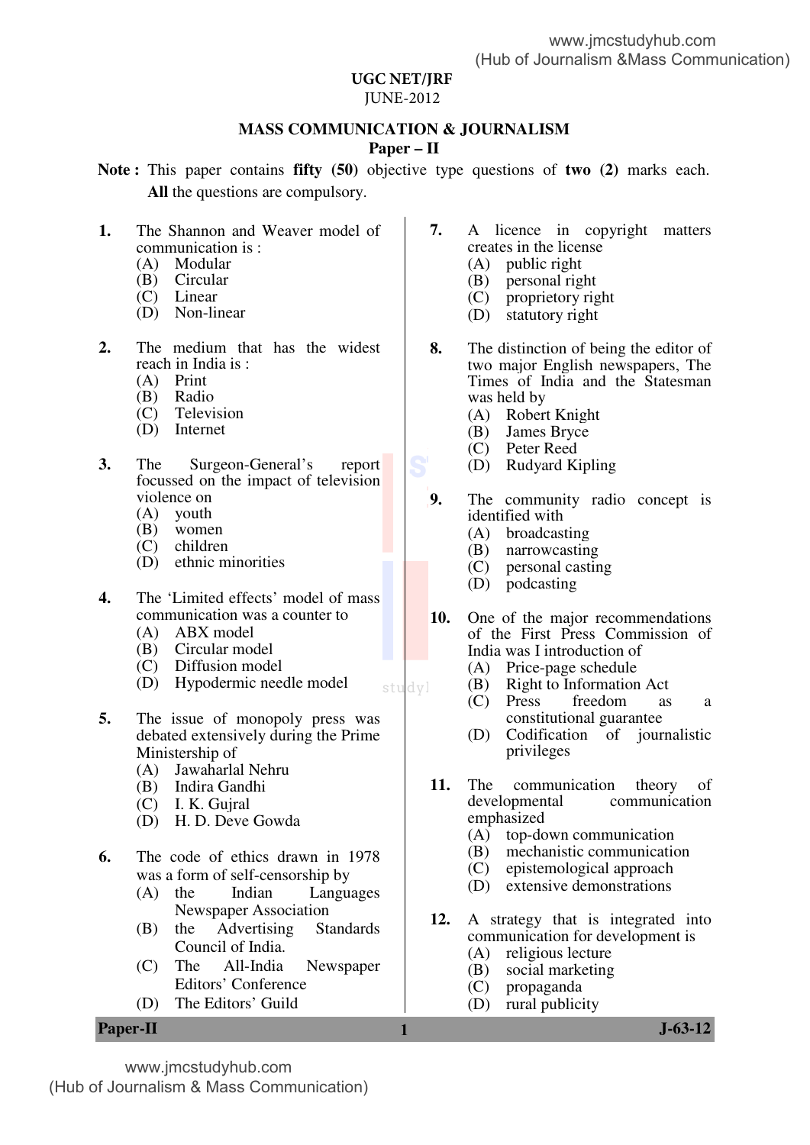### JUNE-2012 **UGC NET/JRF**

### **MASS COMMUNICATION & JOURNALISM Paper – II**

- **Note :** This paper contains **fifty (50)** objective type questions of **two (2)** marks each. **All** the questions are compulsory.
- **1.** The Shannon and Weaver model of communication is :
	- (A) Modular<br>(B) Circular
	- (B) Circular<br>(C) Linear
	- Linear
	- (D) Non-linear
- **2.** The medium that has the widest reach in India is :
	- (A) Print
	- (B) Radio<br>(C) Televi
	- **Television**
	- (D) Internet
- Focussed on the impact of television<br>
violence on<br>
(A) youth<br>
(B) women **3.** The Surgeon-General's report violence on
	- (A) youth
	- (B) women
	- (C) children
	- (D) ethnic minorities
- el of mass<br>ter to  $\begin{array}{|c|c|} \hline \text{10.} & \text{O}_1 \\ \hline \text{of} & \text{of} \end{array}$ **4.** The 'Limited effects' model of mass communication was a counter to
	- (A) ABX model
	- (B) Circular model
	- (C) Diffusion model
	- (D) Hypodermic needle model
- **5.** The issue of monopoly press was debated extensively during the Prime Ministership of
	- (A) Jawaharlal Nehru
	- (B) Indira Gandhi
	- (C) I. K. Gujral
	- (D) H. D. Deve Gowda
- **6.** The code of ethics drawn in 1978 was a form of self-censorship by
	- (A) the Indian Languages Newspaper Association
	- (B) the Advertising Standards Council of India.
	- (C) The All-India Newspaper Editors' Conference
	- (D) The Editors' Guild

- 
- 
- 

# **Paper-II 1 J-63-12**

**7.** A licence in copyright matters creates in the license

- 
- (A) public right<br>(B) personal right personal right
- (C) proprietory right
- (D) statutory right
- **8.** The distinction of being the editor of two major English newspapers, The Times of India and the Statesman was held by
	- (A) Robert Knight
	- $\begin{matrix} \text{(B)} \\ \text{(C)} \end{matrix}$ James Bryce
	- Peter Reed
	- **(D)** Rudyard Kipling
- **9.** The community radio concept is identified with
	- (A) broadcasting
	- (B) narrowcasting
	- (C) personal casting
	- (D) podcasting
- **10.** One of the major recommendations of the First Press Commission of India was I introduction of
	- (A) Price-page schedule
- studyl  $(B)$ <br> $(C)$ Right to Information Act
	- Press freedom as a constitutional guarantee
	- (D) Codification of journalistic privileges
	- **11.** The communication theory of developmental communication communication emphasized
		- (A) top-down communication
		- (B) mechanistic communication<br>(C) epistemological approach
		- epistemological approach
		- (D) extensive demonstrations
	- **12.** A strategy that is integrated into communication for development is
		- (A) religious lecture
		- (B) social marketing
		- (C) propaganda
		- (D) rural publicity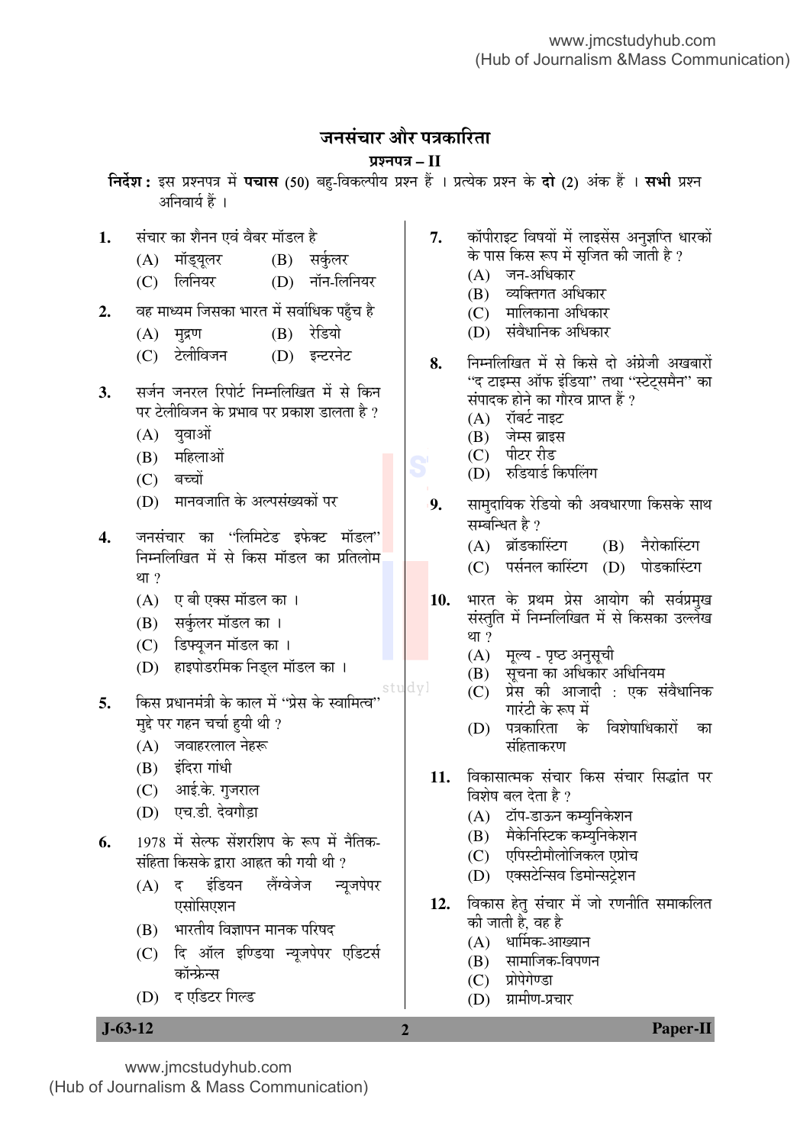# जनसंचार और पत्रकारिता

# ¯ÖÏ¿®Ö¯Ö¡Ö **– II**

**निर्देश:** इस प्रश्नपत्र में **पचास** (50) बह-विकल्पीय प्रश्न हैं । प्रत्येक प्रश्न के **दो** (2) अंक हैं । सभी प्रश्न अनिवार्य हैं ।

- 1. संचार का शैनन एवं वैबर मॉडल है
	- (A) मॉड्यूलर (B) सर्कुलर
	- (C) लिनियर (D) नॉन-लिनियर
- 2. वह माध्यम जिसका भारत में सर्वाधिक पहुँच है
	- (A) मुद्रण (B) रेडियो
	- (C) टेलीविजन (D) इन्टरनेट
- 3. सर्जन जनरल रिपोर्ट निम्नलिखित में से किन पर टेलीविजन के प्रभाव पर प्रकाश डालता है ?
	- $(A)$  युवाओं
	- $(B)$  महिलाओं
	- $(C)$  बच्चों
	- (D) मानवजाति के अल्पसंख्यकों पर
- (C) बच्चो<br>(D) मानवजाति के अल्पसंख्यकों पर<br>**4.** जनसंचार का ''लिमिटेड इफेक्ट मॉडल'' निम्नलिखित में से किस मॉडल का प्रतिलोम था $?$ 
	- (A) ए बी एक्स मॉडल का ।
	- (B) सर्कलर मॉडल का ।
	- (C) डिफ्यूजन मॉडल का ।
	- (D) हाइपोडरमिक निडल मॉडल का ।
- studyl 5. किस प्रधानमंत्री के काल में ''प्रेस के स्वामित्व' मुद्दे पर गहन चर्चा हयी थी ?
	- $(A)$  जवाहरलाल नेहरू
	- (B) इंदिरा गांधी
	- (C) आई.के. गुजराल
	- (D) एच.डी. देवगौडा
- **6.** 1978 में सेल्फ सेंशरशिप के रूप में नैतिक-संहिता किसके द्वारा आहत की गयी थी ?
	- (A) द इंडियन लैंग्वेजेज न्यजपेपर एसोसिएशन
	- $(B)$  भारतीय विज्ञापन मानक परिषद
	- (C) दि ऑल इण्डिया न्यूजपेपर एडिटर्स कॉन्फ्रेन्स
	- (D) द एडिटर गिल्ड

# 7. कॉपीराइट विषयों में लाइसेंस अनुज्ञप्ति धारकों के पास किस रूप में सृजित की जाती है ?

- $(A)$  जन-अधिकार
- (B) व्यक्तिगत अधिकार
- (C) मालिकाना अधिकार
- (D) संवैधानिक अधिकार
- 8. Fiम्नलिखित में से किसे दो अंग्रेजी अखबारों "द टाइम्स ऑफ इंडिया" तथा "स्टेटसमैन" का संपादक होने का गौरव प्राप्त हैं ?
	- $(A)$  रॉबर्ट नाइट
	- $\frac{(B)}{(C)}$ जेम्स ब्राइस
	- पीटर रीड
	- (D) रुडियार्ड किपलिंग
- <sub>ं</sub><br>|**9.** सामुदायिक रेडियो की अवधारणा किसके साथ सम्बन्धित है $\,$ ?
	- $(A)$  ब्रॉडकास्टिंग  $(B)$  नैरोकास्टिंग
	- (C) पर्सनल कास्टिंग (D) पोडकास्टिंग
- **10.** भाः<br>संर<br>था 10. भारत के प्रथम प्रेस आयोग की सर्वप्रमुख संस्तति में निम्नलिखित में से किसका उल्लेख था $\gamma$ 
	- (A) मूल्य पृष्ठ अनुसूची
	- (B) सूचना का अधिकार अधिनियम
	- (C) प्रेस की आजादी : एक संवैधानिक गारंटी के रूप में
	- (D) पत्रकारिता के विशेषाधिकारों का संहिताकरण
	- 11. विकासात्मक संचार किस संचार सिद्धांत पर विशेष बल देता है ?
		- (A) ॉटप-डाऊन कम्युनिकेशन
		- (B) मैकेनिस्टिक कम्युनिकेशन
		- (C) एपिस्टीमौलोजिकल एप्रोच
		- (D) एक्सटेन्सिव डिमोन्सट्रेशन
	- 12. विकास हेत् संचार में जो रणनीति समाकलित की जाती है. वह है
		- $(A)$  धार्मिक-आख्यान
		- $(B)$  सामाजिक-विपणन
		- (C) प्रोपेगेण्डा
		- (D) ग्रामीण-प्रचार

 **J-63-12 2 Paper-II**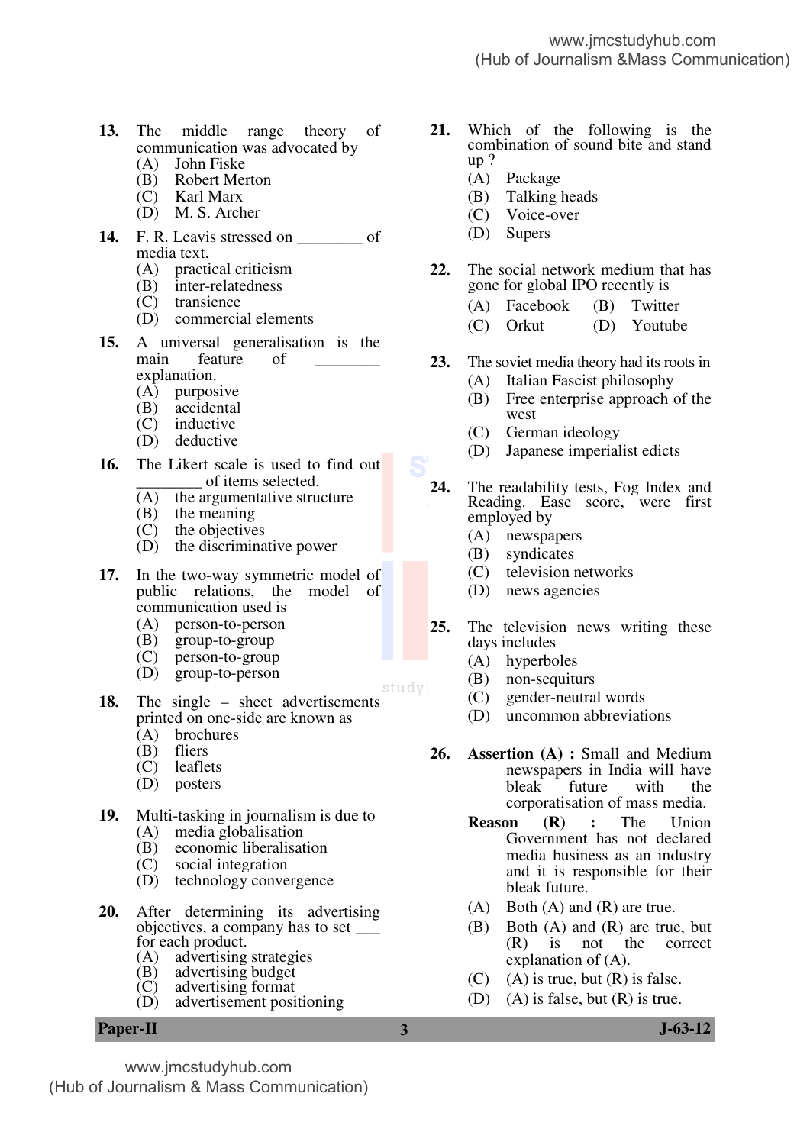- **13.** The middle range theory of communication was advocated by
	- (A) John Fiske
	- (B) Robert Merton
	- (C) Karl Marx
	- (D) M. S. Archer
- **14.** F. R. Leavis stressed on \_\_\_\_\_\_\_\_ of media text.
	- (A) practical criticism
	- (B) inter-relatedness
	- (C) transience
	- (D) commercial elements
- **15.** A universal generalisation is the feature of explanation.
	- (A) purposive
	- (B) accidental
	- (C) inductive
	- (D) deductive
- *<u>J</u>* **16.** The Likert scale is used to find out  $\frac{1}{(A)}$  the argumentative strue
	- (A) the argumentative structure
	- (B) the meaning
	- (C) the objectives
	- (D) the discriminative power
- model of the contract of the contract of the contract of the contract of the contract of the contract of the contract of the contract of the contract of the contract of the contract of the contract of the contract of the c **17.** In the two-way symmetric model of public relations, the model of communication used is
	- (A) person-to-person
	- (B) group-to-group
	- (C) person-to-group
	- (D) group-to-person
- **18.** The single sheet advertisements printed on one-side are known as (A) brochures
	-
	- (B) fliers (C) leaflets
	- (D) posters
- **19.** Multi-tasking in journalism is due to
	- (A) media globalisation
	- (B) economic liberalisation<br>(C) social integration
	- social integration
	- (D) technology convergence
- **20.** After determining its advertising objectives, a company has to set \_\_\_ for each product.<br>(A) advertising
	- (A) advertising strategies<br>(B) advertising budget
	- $(B)$  advertising budget<br>  $(C)$  advertising format
	- $(C)$  advertising format<br> $(D)$  advertisement posi
	- advertisement positioning

### **Paper-II 3 J-63-12**

- **21.** Which of the following is the combination of sound bite and stand up ?
	- (A) Package
	- (B) Talking heads
	- (C) Voice-over
	- (D) Supers
- **22.** The social network medium that has gone for global IPO recently is
	- (A) Facebook (B) Twitter
	- (C) Orkut (D) Youtube
- **23.** The soviet media theory had its roots in
	- (A) Italian Fascist philosophy
	- (B) Free enterprise approach of the west
- (C) German ideology<br>
(D) Japanese imperial
	- (D) Japanese imperialist edicts
- $S_{\text{max}}$ **Hubber 124.** The readability tests, Fog maex and Reading. Ease score, were first **24.** The readability tests, Fog Index and employed by
	- (A) newspapers
	- (B) syndicates
	- (C) television networks
	- (D) news agencies
	- **25.** The television news writing these days includes
		- (A) hyperboles
		- (B) non-sequiturs
- studyl  $\mathcal{L}$   $\mathcal{L}$   $\mathcal{L}$   $\mathcal{L}$   $\mathcal{L}$   $\mathcal{L}$   $\mathcal{L}$   $\mathcal{L}$   $\mathcal{L}$   $\mathcal{L}$   $\mathcal{L}$   $\mathcal{L}$   $\mathcal{L}$   $\mathcal{L}$   $\mathcal{L}$   $\mathcal{L}$   $\mathcal{L}$   $\mathcal{L}$   $\mathcal{L}$   $\mathcal{L}$   $\mathcal{L}$   $\mathcal{L}$   $\mathcal{L}$   $\mathcal{L}$ gender-neutral words
	- (D) uncommon abbreviations
	- **26. Assertion (A) :** Small and Medium newspapers in India will have<br>bleak future with the future with the corporatisation of mass media.
		- **Reason (R) :** The Union Government has not declared media business as an industry and it is responsible for their bleak future.
		- (A) Both (A) and (R) are true.
		- (B) Both (A) and (R) are true, but<br>(R) is not the correct is not the explanation of (A).
		- (C) (A) is true, but  $(R)$  is false.
		- (D) (A) is false, but  $(R)$  is true.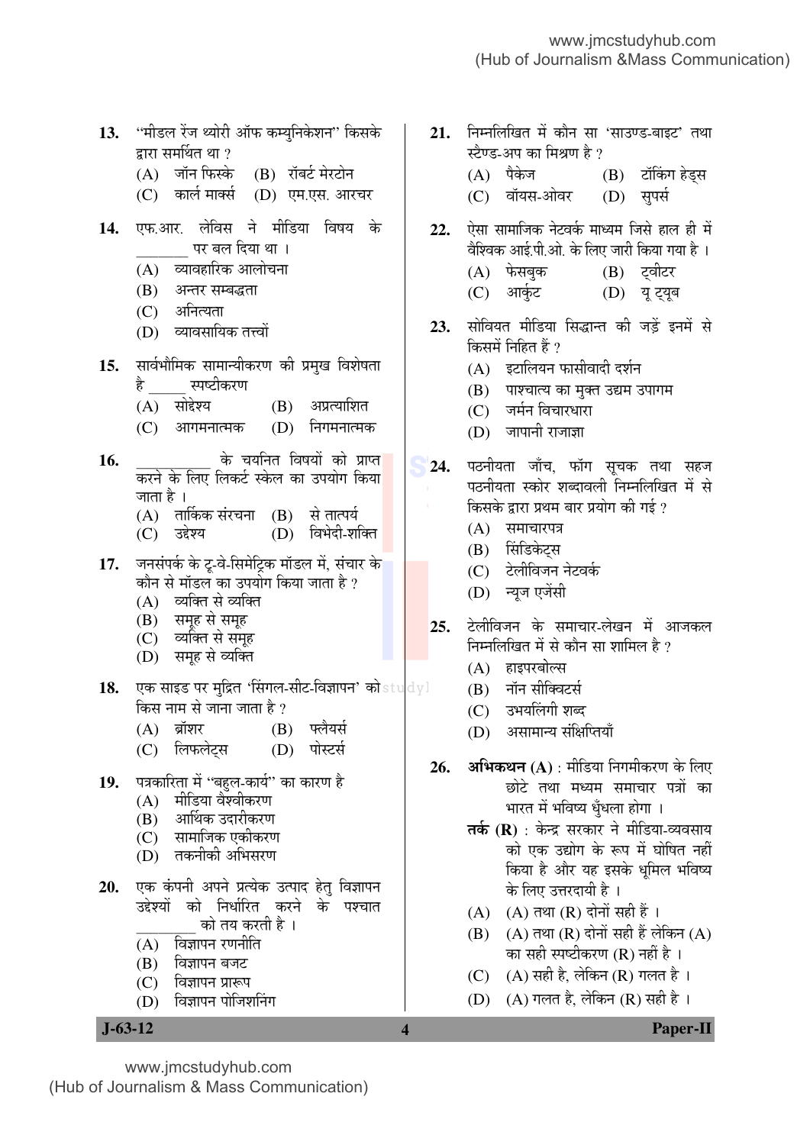- 13. "मीडल रेंज थ्योरी ऑफ कम्युनिकेशन" किसके द्वारा समर्थित था ?
	- $(A)$  जॉन फिस्के  $(B)$  रॉबर्ट मेरटोन
	- (C) कार्ल मार्क्स (D) एम.एस. आरचर
- <u>14. एफ.आर. लेविस ने मीडिया विषय के</u> पर बल दिया था ।
	- $(A)$  व्यावहारिक आलोचना
	- (B) अन्तर सम्बद्धता
	- (C) अनित्यता
	- $(D)$  व्यावसायिक तत्त्वों
- 15. सार्वभौमिक सामान्यीकरण की प्रमुख विशेषता है स्पष्टीकरण
	- $(A)$  सोद्देश्य  $(B)$  अप्रत्याशित
	- (C) आगमनात्मक (D) निगमनात्मक
- करने के लिए लिकटे स्केल का उपयोग किय<br>जाता है ।<br>(A) तार्किक संरचना (B) से तात्पर्य<br>(C) उद्देश्य (D) विभेदी-शक्ति **16.** के चयनित विषयों को प्राप्त करने के लिए लिकर्ट स्केल का उपयोग किया जाता है ।
	- $(A)$  तार्किक संरचना  $(B)$  से तात्पर्य
	-
- 17. जनसंपर्क के टू-वे-सिमेट्रिक मॉडल में, संचार के कौन से मॉडल का उपयोग किया जाता है ?
	- $(A)$  व्यक्ति से व्यक्ति
	- (B) समह से समह
	- (C) व्यक्ति से समूह
	- (D) समूह से व्यक्ति
- **18.** एक साइड पर मुद्रित 'सिंगल-सीट-विज्ञापन' को $\text{stu} \, \text{dy} \, \text{d} \, \text{y}$  (B) किस नाम से जाना जाता है ?
	- $(A)$  ब्रॉशर  $(B)$  फ्लैयर्स
	- (C) लिफलेट्स (D) पोस्टर्स
- 19. पत्रकारिता में "बहल-कार्य" का कारण है
	- $(A)$  मीडिया वैश्वीकरण
	- (B) आर्थिक उदारीकरण
	- (C) सामाजिक एकीकरण
	- (D) तकनीकी अभिसरण
- **20.** एक कंपनी अपने प्रत्येक उत्पाद हेतु विज्ञापन उद्देश्यों को निर्धारित करने के पश्चात को तय करती है ।
	- $(A)$  विज्ञापन रणनीति
	- $(B)$  विज्ञापन बजट
	- (C) विज्ञापन प्रारूप
	- $(D)$  विज्ञापन पोजिशनिंग

# 21. निम्नलिखित में कौन सा 'साउण्ड-बाइट' तथा स्टैण्ड-अप का मिश्रण है ? (A) पैकेज (B) टॉकिंग हेड्स

- (C) वॉयस-ओवर (D) सुपर्स
- **22.** ऐसा सामाजिक नेटवर्क माध्यम जिसे हाल ही में वैश्विक आई.पी.ओ. के लिए जारी किया गया है ।
	- (A) फेसबुक (B) ट्वीटर
	- (C) आर्कुट (D) यू ट्यूब
- 23. सोवियत मीडिया सिद्धान्त की जड़ें इनमें से किसमें निहित हैं ?
	- $(A)$  इटालियन फासीवादी दर्शन
	- (B) पाश्चात्य का मुक्त उद्यम उपागम
	- (C) जर्मन विचारधारा
- , (D) जापानी राजाज्ञा
- <mark>S</mark> 24. पठनीयता जाँच, फॉग सूचक तथा सहज **FIBUAGI स्कार शब्दावला निम्नाला**ख<br>• किसके द्वारा प्रथम बार प्रयोग की गई ? पठनीयता स्कोर शब्दावली निम्नलिखित में से
	- $(A)$  समाचारपत्र
	- (B) सिंडिकेटस
	- (C) टेलीविजन नेटवर्क
	- (D) न्यज एजेंसी
- गता ह*ै*<br>25. टेल्<br>ट्रेल 25. टेलीविजन के समाचार-लेखन में आजकल निम्नलिखित में से कौन सा शामिल है ?
	- $(A)$  हाइपरबोल्स
	- $(B)$  नॉन सीक्विटर्स
	- $(C)$  उभयलिंगी शब्द
	- $(D)$  ) असामान्य संक्षिप्तियाँ
	- **26. अभिकथन (A)** : मीडिया निगमीकरण के लिए छोटे तथा मध्यम समाचार पत्रों का भारत में भविष्य धँधला होगा ।
		- **तर्क (R)** : केन्द्र सरकार ने मीडिया-व्यवसाय को एक उद्योग के रूप में घोषित नहीं किया है और यह इसके धमिल भविष्य के लिए उत्तरदायी है ।
		- (A)  $(A)$  तथा (R) दोनों सही हैं ।
		- $(B)$   $(A)$  तथा  $(R)$  दोनों सही हैं लेकिन  $(A)$ का सही स्पष्टीकरण (R) नहीं है ।
		- (C)  $(A)$  सही है, लेकिन (R) गलत है।
		- (D)  $(A)$  गलत है, लेकिन (R) सही है।

 **J-63-12 4 Paper-II**

(Hub of Journalism & Mass Communication)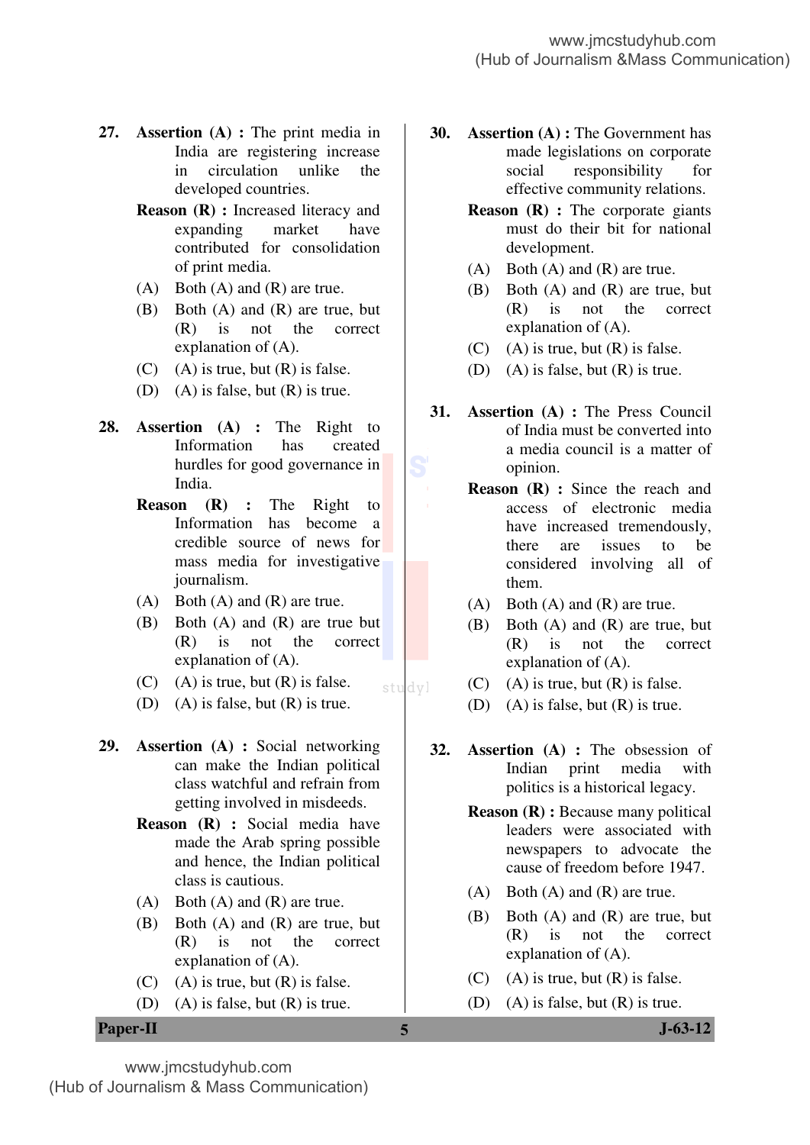- **27. Assertion (A) :** The print media in India are registering increase in circulation unlike the developed countries.
	- **Reason (R) :** Increased literacy and expanding market have contributed for consolidation of print media.
	- (A) Both (A) and (R) are true.
	- (B) Both (A) and (R) are true, but (R) is not the correct explanation of (A).
	- $(C)$  (A) is true, but  $(R)$  is false.
	- (D) (A) is false, but  $(R)$  is true.
- **28. Assertion (A) :** The Right to Information has created hurdles for good governance in India.
	- *<u>ight</u>* **Reason (R) :** The Right to Information has become a credible source of news for mass media for investigative journalism.
	- (A) Both (A) and (R) are true.
	- true. (A<br>
	e true but (B<br>
	correct (B) Both (A) and (R) are true but (R) is not the correct explanation of (A).

studyl

- $(C)$  (A) is true, but  $(R)$  is false.
- (D) (A) is false, but (R) is true.
- **29. Assertion (A) :** Social networking can make the Indian political class watchful and refrain from getting involved in misdeeds.
	- **Reason (R) :** Social media have made the Arab spring possible and hence, the Indian political class is cautious.
	- (A) Both (A) and (R) are true.
	- (B) Both (A) and (R) are true, but (R) is not the correct explanation of (A).
	- $(C)$  (A) is true, but  $(R)$  is false.
	- (D) (A) is false, but  $(R)$  is true.

### **Paper-II 5 J-63-12**

- **30. Assertion (A) :** The Government has made legislations on corporate social responsibility for effective community relations.
	- **Reason (R) :** The corporate giants must do their bit for national development.
	- (A) Both (A) and (R) are true.
	- (B) Both (A) and (R) are true, but (R) is not the correct explanation of (A).
	- $(C)$  (A) is true, but  $(R)$  is false.
	- (D) (A) is false, but (R) is true.
- **S**<sup>o</sup> **31. Assertion (A) :** The Press Council of India must be converted into a media council is a matter of opinion.
	- **Reason (R) :** Since the reach and access of electronic media access of electronic media have increased tremendously, there are issues to be considered involving all of them.
		- (A) Both (A) and (R) are true.
		- (B) Both (A) and (R) are true, but (R) is not the correct explanation of (A).
		- $(C)$  (A) is true, but  $(R)$  is false.
		- (D) (A) is false, but (R) is true.
	- **32. Assertion (A) :** The obsession of Indian print media with politics is a historical legacy.
		- **Reason (R) :** Because many political leaders were associated with newspapers to advocate the cause of freedom before 1947.
		- (A) Both (A) and (R) are true.
		- (B) Both (A) and (R) are true, but (R) is not the correct explanation of (A).
		- $(C)$  (A) is true, but  $(R)$  is false.
		- (D) (A) is false, but  $(R)$  is true.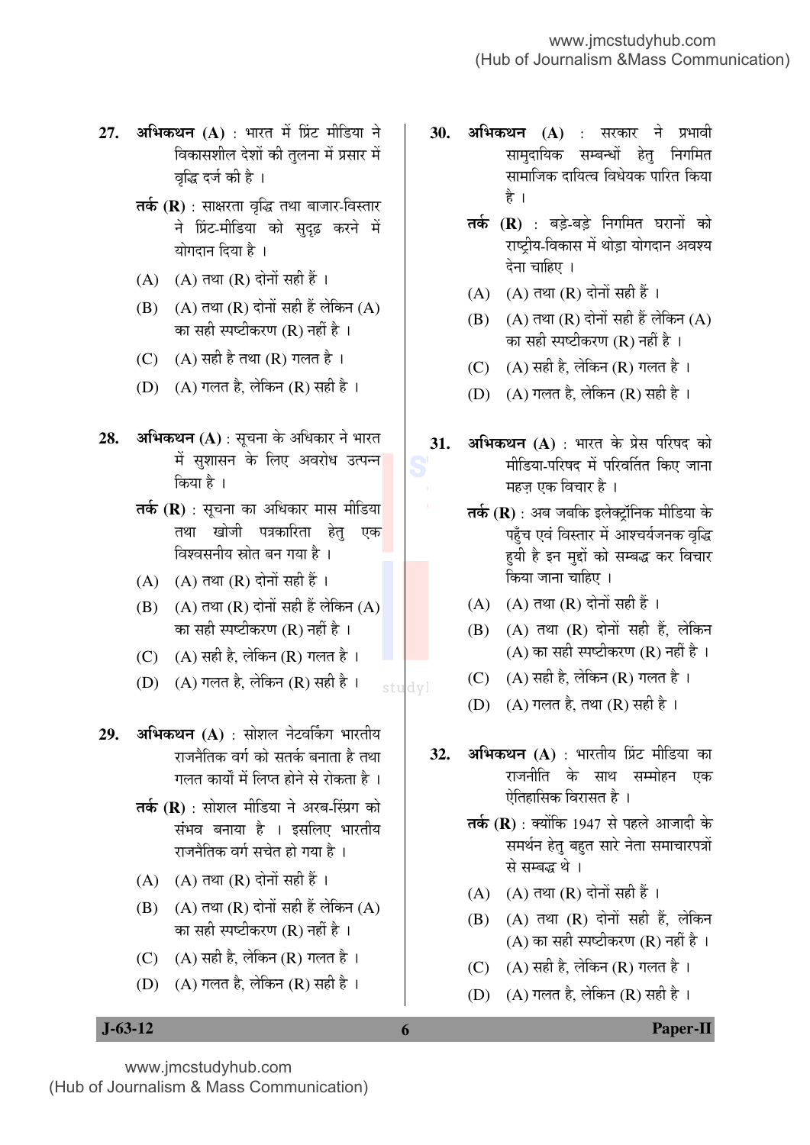- **27. अभिकथन (A)** : भारत में प्रिंट मीडिया ने विकासशील देशों की तुलना में प्रसार में वृद्धि दर्ज की है ।
	- **तर्क (R)** : साक्षरता वृद्धि तथा बाजार-विस्तार ने प्रिंट-मीडिया को सुदृढ़ करने में योगदान दिया है ।
	- $(A)$   $(A)$  तथा  $(R)$  दोनों सही हैं ।
	- $(B)$   $(A)$  तथा  $(R)$  दोनों सही हैं लेकिन  $(A)$ का सही स्पष्टीकरण (R) नहीं है ।
	- (C)  $(A)$  सही है तथा (R) गलत है।
	- $(D)$   $(A)$  गलत है, लेकिन  $(R)$  सही है ।
- **28. अभिकथन (A)** : सूचना के अधिकार ने भारत में सुशासन के लिए अवरोध उत्पन्न किया है ।
	- **ास मीडि**<br>हेत प **तर्क (R)** : सूचना का अधिकार मास मीडिय<mark>ा</mark> तथा खोजी पत्रकारिता हेत् एक विश्वसनीय स्रोत बन गया है ।
	- $(A)$   $(A)$  तथा  $(R)$  दोनों सही हैं।
	- **M C**  $(B)$   $(A)$  तथा  $(R)$  दोनों सही हैं लेकिन  $(A)$ का सही स्पष्टीकरण (R) नहीं है ।
	- (C)  $(A)$  सही है, लेकिन (R) गलत है।
	- $(D)$   $(A)$  गलत है, लेकिन  $(R)$  सही है।

studyl

- **29. अभिकथन (A)** : सोशल नेटवर्किंग भारतीय राजनैतिक वर्ग को सतर्क बनाता है तथा गलत कार्यों में लिप्त होने से रोकता है ।
	- **तर्क (R)** : सोशल मीडिया ने अरब-स्प्रिंग को संभव बनाया है । इसलिए भारतीय राजनैतिक वर्ग सचेत हो गया है ।
	- $(A)$   $(A)$  तथा  $(R)$  दोनों सही हैं।
	- $(B)$   $(A)$  तथा  $(R)$  दोनों सही हैं लेकिन  $(A)$ का सही स्पष्टीकरण (R) नहीं है ।
	- (C)  $(A)$  सही है, लेकिन (R) गलत है।
	- $(D)$   $(A)$  गलत है, लेकिन  $(R)$  सही है ।

**30. अभिकथन (A)** : सरकार ने प्रभावी सामदायिक सम्बन्धों हेत निगमित सामाजिक दायित्व विधेयक पारित किया है ।

- **तर्क (R)** : बड़े-बड़े निगमित घरानों को राष्टीय-विकास में थोडा योगदान अवश्य देना चाहिए ।
- $(A)$   $(A)$  तथा  $(R)$  दोनों सही हैं।
- $(B)$   $(A)$  तथा  $(R)$  दोनों सही हैं लेकिन  $(A)$ का सही स्पष्टीकरण (R) नहीं है ।
- (C)  $(A)$  सही है, लेकिन (R) गलत है।
- (D)  $(A)$  गलत है, लेकिन (R) सही है।
- 31. अभिकथन (A) : भारत के प्रेस परिषद को <mark>S</mark>TYPE मी मीडिया-परिषद में परिवर्तित किए जाना महज एक विचार है ।
	- **HUB** ŸÖÛÔú **(R)** : †²Ö •Ö²Ö×Ûú ‡»ÖꌙÒüÖò×®ÖÛú ´Öß×›üµÖÖ Ûêú पहुँच एवं विस्तार में आश्चर्यजनक वृद्धि ह़यी है इन मुद्दों को सम्बद्ध कर विचार किया जाना चाहिए ।
		- $(A)$   $(A)$  तथा  $(R)$  दोनों सही हैं।
		- $(B)$   $(A)$  तथा  $(R)$  दोनों सही हैं, लेकिन (A) का सही स्पष्टीकरण (R) नहीं है ।
		- (C)  $(A)$  सही है, लेकिन (R) गलत है।
		- (D)  $(A)$  गलत है, तथा  $(R)$  सही है।
	- **32. अभिकथन (A)** : भारतीय प्रिंट मीडिया का राजनीति के साथ सम्मोहन एक ऐतिहासिक विरासत है ।
		- **तर्क (R)** : क्योंकि 1947 से पहले आजादी के समर्थन हेतु बहुत सारे नेता समाचारपत्रों से सम्बद्ध थे ।
		- $(A)$   $(A)$  तथा  $(R)$  दोनों सही हैं।
		- $(B)$   $(A)$  तथा  $(R)$  दोनों सही हैं, लेकिन (A) का सही स्पष्टीकरण (R) नहीं है ।
		- (C)  $(A)$  सही है, लेकिन (R) गलत है।
		- (D)  $(A)$  गलत है, लेकिन (R) सही है।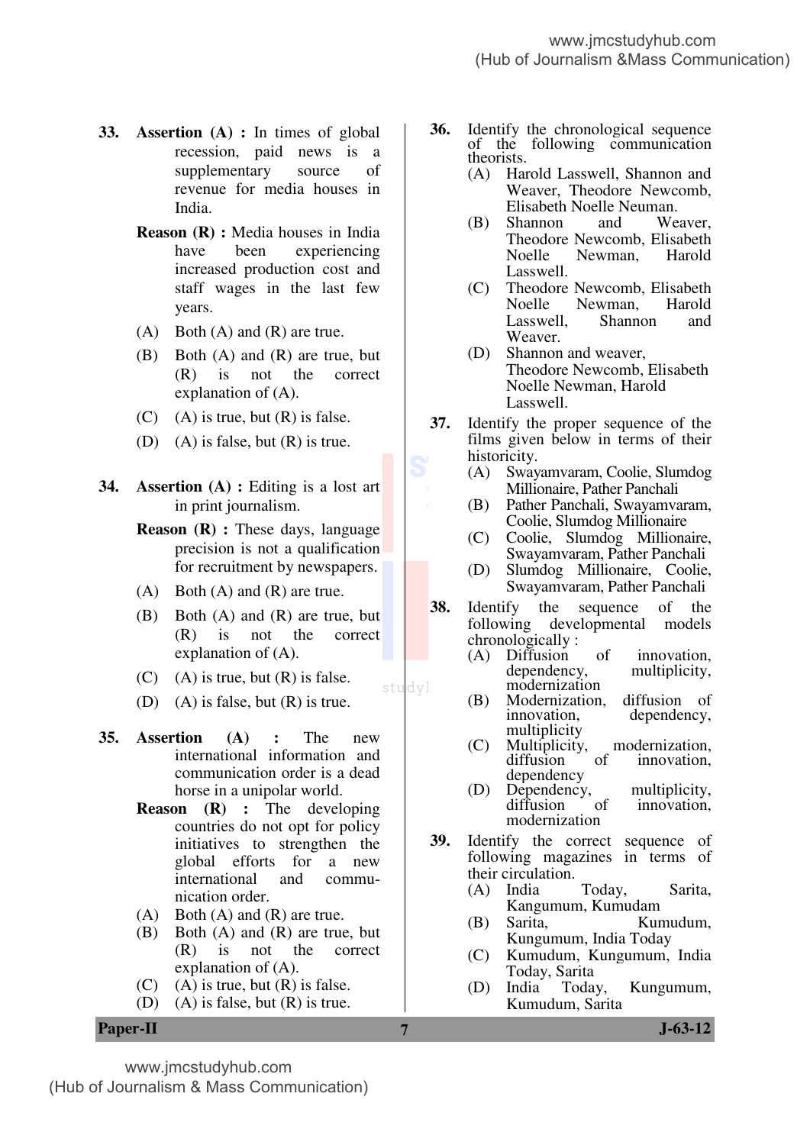- **33. Assertion (A) :** In times of global recession, paid news is a supplementary source of revenue for media houses in India.
	- **Reason (R) :** Media houses in India have been experiencing increased production cost and staff wages in the last few years.
	- $(A)$  Both  $(A)$  and  $(R)$  are true.
	- (B) Both (A) and (R) are true, but (R) is not the correct explanation of (A).
	- $(C)$  (A) is true, but  $(R)$  is false.
	- (D) (A) is false, but  $(R)$  is true.
- **Assertion (A) :** Editing is a lost art<br>in print journalism.<br>**Reason (R) :** These days, language **34.** Assertion (A) : Editing is a lost art in print journalism.
	- precision is not a qualification for recruitment by newspapers.
	- (A) Both (A) and (R) are true.
	- true.<br>
	e true, but<br>
	correct
	<sup>38.</sup> Ide (B) Both (A) and (R) are true, but (R) is not the correct explanation of (A).
	- (C) (A) is true, but  $(R)$  is false.
	- (D) (A) is false, but  $(R)$  is true.
- **35. Assertion (A) :** The new international information and communication order is a dead horse in a unipolar world.
	- **Reason (R) :** The developing countries do not opt for policy initiatives to strengthen the global efforts for a new international and communication order.
	- (A) Both (A) and (R) are true.
	- (B) Both (A) and (R) are true, but (R) is not the correct explanation of (A).
	- $(C)$  (A) is true, but  $(R)$  is false.
	- (D) (A) is false, but  $(R)$  is true.

### **Paper-II 7 J-63-12**

- **36.** Identify the chronological sequence of the following communication theorists.
	- (A) Harold Lasswell, Shannon and Weaver, Theodore Newcomb, Elisabeth Noelle Neuman.
	- (B) Shannon and Weaver, Theodore Newcomb, Elisabeth Noelle Newman, Harold Lasswell.
	- (C) Theodore Newcomb, Elisabeth Noelle Newman, Harold<br>Lasswell. Shannon and Lasswell, Shannon and Weaver.
	- (D) Shannon and weaver, Theodore Newcomb, Elisabeth Noelle Newman, Harold Lasswell.
- **J.** dentity the proper sequence of their<br>films given below in terms of their **STYPE STRAN**<br> **STYPE SWAY**(A) Sway **37.** Identify the proper sequence of the
	- (A) Swayamvaram, Coolie, Slumdog Millionaire, Pather Panchali
	- **(B)** Pather Panchali, Swayamvaram, Coolie, Slumdog Millionaire
	- (C) Coolie, Slumdog Millionaire, Swayamvaram, Pather Panchali
	- (D) Slumdog Millionaire, Coolie, Swayamvaram, Pather Panchali
	- **38.** Identify the sequence of the following developmental models chronologically :
		- (A) Diffusion of innovation, dependency, multiplicity, modernization
- studyl $(B)$ Modernization, diffusion of innovation, dependency,
	- multiplicity<br>Multiplicity, (C) Multiplicity, modernization, diffusion of innovation, dependency
	- (D) Dependency, multiplicity, diffusion of innovation, modernization
	- **39.** Identify the correct sequence of following magazines in terms of their circulation.
		- (A) India Today, Sarita, Kangumum, Kumudam
		- (B) Sarita, Kumudum, Kungumum, India Today
		- (C) Kumudum, Kungumum, India Today, Sarita
		- (D) India Today, Kungumum, Kumudum, Sarita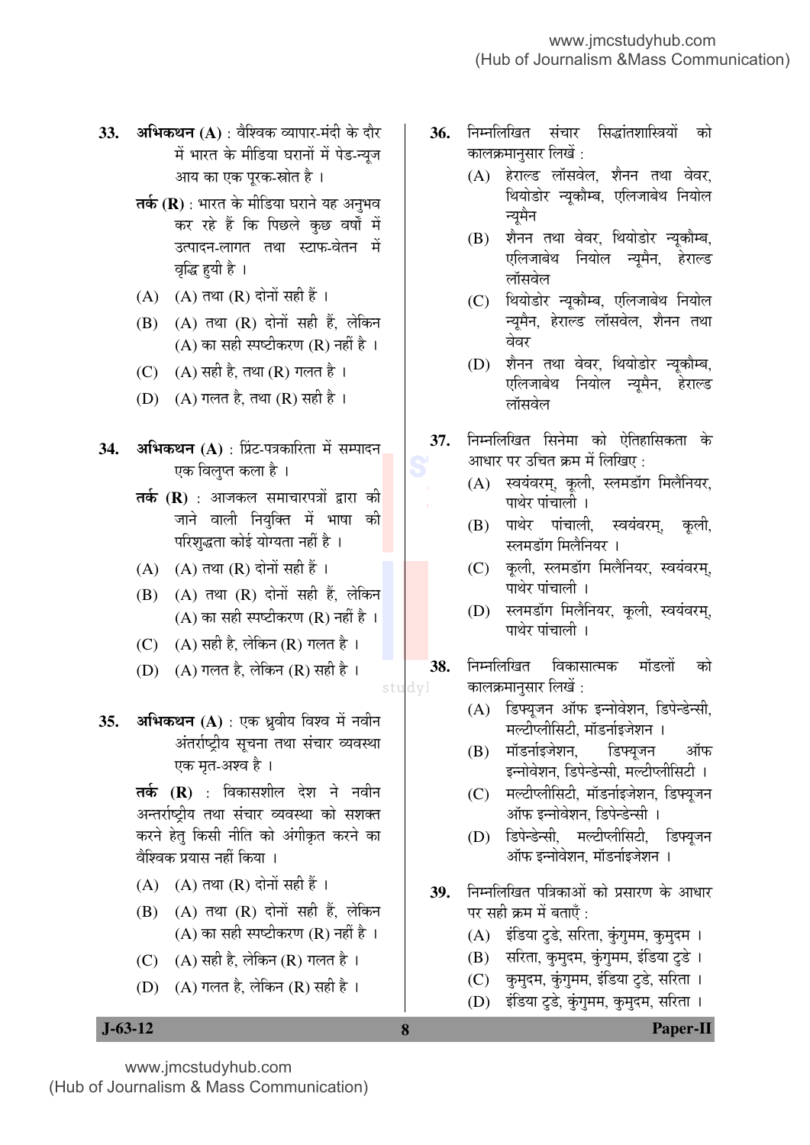- **33. अभिकथन (A)** : वैश्विक व्यापार-मंदी के दौर में भारत के मीडिया घरानों में पेड-न्यज आय का एक पूरक-स्रोत है ।
	- **तर्क (R)** : भारत के मीडिया घराने यह अनुभव कर रहे हैं कि पिछले कुछ वर्षों में उत्पादन-लागत तथा स्टाफ-वेतन में वृद्धि हयी है ।
	- $(A)$   $(A)$  तथा  $(R)$  दोनों सही हैं।
	- $(B)$   $(A)$  तथा  $(R)$  दोनों सही हैं, लेकिन (A) का सही स्पष्टीकरण (R) नहीं है ।
	- (C)  $(A)$  सही है, तथा (R) गलत है ।
	- (D)  $(A)$  गलत है, तथा  $(R)$  सही है।
- 34. **अभिकथन (A)** : प्रिंट-पत्रकारिता में सम्पादन एक विलुप्त कला है ।
	- ९२१ दिलुदा दल्ला है<br>**R**) : आजकल समाचारपत्रों द्वारा की<br>जाने वाली नियुक्ति में भाषा की **तर्क (R)** : आजकल समाचारपत्रों द्वारा की परिशुद्धता कोई योग्यता नहीं है ।
	- $(A)$   $(A)$  तथा  $(R)$  दोनों सही हैं ।
	- **M C**  $(B)$   $(A)$  तथा  $(R)$  दोनों सही हैं, लेकिन (A) का सही स्पष्टीकरण (R) नहीं है ।
	- (C)  $(A)$  सही है, लेकिन (R) गलत है ।
	- (D)  $(A)$  गलत है, लेकिन (R) सही है ।
- studyl
- **35. अभिकथन (A)** : एक ध्रवीय विश्व में नवीन अंतर्राष्ट्रीय सूचना तथा संचार व्यवस्था एक मृत-अश्व है ।
	- **तर्क (R)** : विकासशील देश ने नवीन अन्तर्राष्ट्रीय तथा संचार व्यवस्था को सशक्त करने हेत् किसी नीति को अंगीकृत करने का वैश्विक प्रयास नहीं किया ।
	- (A)  $(A)$  तथा (R) दोनों सही हैं।
	- $(B)$   $(A)$  तथा  $(R)$  दोनों सही हैं. लेकिन (A) का सही स्पष्टीकरण (R) नहीं है ।
	- $(C)$   $(A)$  सही है, लेकिन  $(R)$  गलत है।
	- (D)  $(A)$  गलत है, लेकिन (R) सही है।

- **36.** निम्नलिखित संचार सिद्धांतशास्त्रियों को कालक्रमानुसार लिखें :
	- (A) हेराल्ड लॉसवेल, शैनन तथा वेवर, थियोडोर न्यूकौम्ब, एलिजाबेथ नियोल न्युमैन
	- (B) शैनन तथा वेवर, थियोडोर न्यकौम्ब, एलिजाबेथ नियोल न्यूमैन, हेराल<mark>्</mark>ड लॉसवेल
	- (C) थियोडोर न्यूकौम्ब, एलिजाबेथ नियोल च्यमैन, हेराल्ड लॉसवेल, शैनन तथा वेवर
	- (D) शैनन तथा वेवर, थियोडोर न्यूकौम्ब, एलिजाबेथ नियोल न्यूमैन, हेराल्ड लॉसवेल
- 37. निम्नलिखित सिनेमा को ऐतिहासिकता के **STYPE STAR**<br>
(A) उनसंखण करी उत्सादी
	- $\begin{pmatrix} H \\ H \end{pmatrix}$ (A) स्वयंवरम्, कूली, स्लमडॉग मिलैनियर, पाथेर पांचाली ।
		- (B) पाथेर पांचाली, स्वयंवरम्, कृली, स्लमडॉग मिलैनियर ।
		- (C) कूली, स्लमडॉंग मिलैनियर, स्वयंवरम्, पाथेर पांचाली ।
		- (D) स्लमडॉंग मिलैनियर, कूली, स्वयंवरम्, पाथेर पांचाली ।
	- **38.** निम्नलिखित विकासात्मक मॉडलों को कालक्रमानुसार लिखें:
		- (A) डिफ्युजन ऑफ इन्नोवेशन, डिपेन्डेन्सी, मल्टीप्लीसिटी, मॉडर्नाइजेशन**।**
		- (B) मॉडर्नाइजेशन, डिफ्युजन ऑफ इन्नोवेशन, डिपेन्डेन्सी, मल्टीप्लीसिटी ।
		- (C) मल्टीप्लीसिटी, मॉडर्नाइजेशन, डिफ्युजन ऑफ इन्नोवेशन, डिपेन्डेन्सी ।
		- (D) डिपेन्डेन्सी, मल्टीप्लीसिटी, डिफ्युजन <u>ऑफ इन्नोवेशन, मॉडर्नाइजेशन ।</u>
	- 39. **निम्नलिखित पत्रिकाओं को प्रसारण के** आधार पर सही क्रम में बताएँ :
		- (A) इंडिया टुडे, सरिता, कुंगुमम, कुमुदम ।
		- (B) सरिता, कुमुदम, कुंगुमम, इंडिया टूडे ।
		- (C) कुमुदम, कुंगुमम, इंडिया टुडे, सरिता ।
		- (D) इंडिया टूडे, कुंगुमम, कुमुदम, सरिता ।

### **J-63-12 8 Paper-II**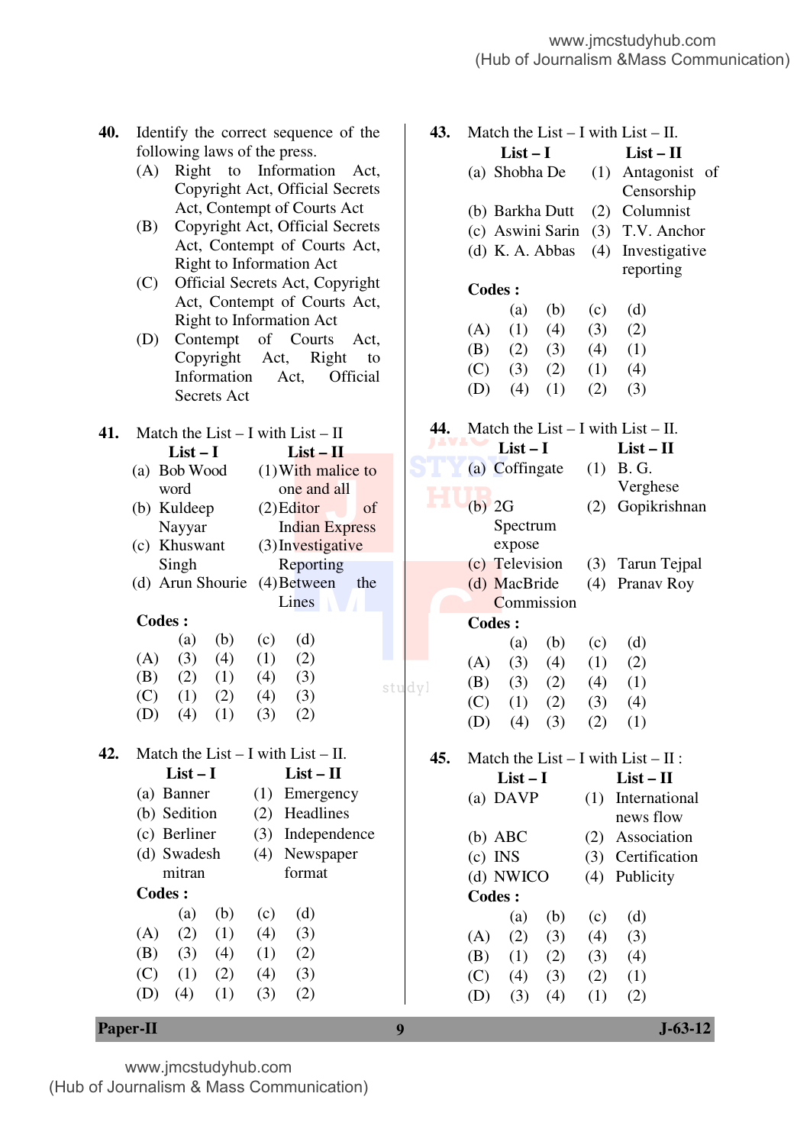| 40. | Identify the correct sequence of the<br>following laws of the press.   | 43.<br>Match the List $- I$ with List $- II$ .<br>$List-I$<br>$List - II$ |                                         |                                         |  |
|-----|------------------------------------------------------------------------|---------------------------------------------------------------------------|-----------------------------------------|-----------------------------------------|--|
|     | Right to Information<br>(A)<br>Act,<br>Copyright Act, Official Secrets |                                                                           | (a) Shobha De                           | (1)<br>Antagonist of<br>Censorship      |  |
|     | Act, Contempt of Courts Act                                            |                                                                           | (b) Barkha Dutt                         | (2) Columnist                           |  |
|     | Copyright Act, Official Secrets<br>(B)                                 |                                                                           | (c) Aswini Sarin                        | T.V. Anchor<br>(3)                      |  |
|     | Act, Contempt of Courts Act,                                           |                                                                           | $(d)$ K. A. Abbas                       | Investigative<br>(4)                    |  |
|     | Right to Information Act                                               |                                                                           |                                         | reporting                               |  |
|     | Official Secrets Act, Copyright<br>(C)                                 |                                                                           | <b>Codes:</b>                           |                                         |  |
|     | Act, Contempt of Courts Act,                                           |                                                                           | (b)<br>(a)                              | (d)<br>(c)                              |  |
|     | <b>Right to Information Act</b><br>of<br>Courts                        |                                                                           | (1)<br>(4)<br>(A)                       | (3)<br>(2)                              |  |
|     | Contempt<br>(D)<br>Act,<br>Copyright<br>Act,<br>Right<br>to            |                                                                           | (3)<br>(B)<br>(2)                       | (4)<br>(1)                              |  |
|     | Official<br>Information<br>Act,                                        |                                                                           | (C)<br>(2)<br>(3)                       | (1)<br>(4)                              |  |
|     | <b>Secrets Act</b>                                                     |                                                                           | (D)<br>(4)<br>(1)                       | (2)<br>(3)                              |  |
|     |                                                                        |                                                                           |                                         |                                         |  |
| 41. | Match the List $- I$ with List $- II$                                  | 44.                                                                       |                                         | Match the List $- I$ with List $- II$ . |  |
|     | $List-I$<br>$List - II$                                                |                                                                           | $List-I$                                | $List - II$                             |  |
|     | (a) Bob Wood<br>$(1)$ With malice to                                   |                                                                           | (a) Coffingate                          | <b>B.</b> G.<br>(1)                     |  |
|     | word<br>one and all                                                    |                                                                           |                                         | Verghese                                |  |
|     | (b) Kuldeep<br>$(2)$ Editor<br>of                                      |                                                                           | (b) 2G                                  | Gopikrishnan<br>(2)                     |  |
|     | <b>Indian Express</b><br>Nayyar                                        |                                                                           | Spectrum                                |                                         |  |
|     | (c) Khuswant<br>(3) Investigative                                      |                                                                           | expose                                  |                                         |  |
|     | Reporting<br>Singh                                                     |                                                                           | (c) Television                          | (3)<br>Tarun Tejpal                     |  |
|     | (d) Arun Shourie<br>$(4)$ Between<br>the                               |                                                                           | (d) MacBride                            | (4)<br>Pranav Roy                       |  |
|     | Lines<br><b>Codes:</b>                                                 |                                                                           | Commission                              |                                         |  |
|     |                                                                        |                                                                           | <b>Codes:</b>                           |                                         |  |
|     | (d)<br>(b)<br>(c)<br>$\left( a\right)$                                 |                                                                           | (b)<br>(a)                              | (d)<br>(c)                              |  |
|     | (3)<br>(A)<br>(2)<br>(4)<br>(1)                                        |                                                                           | (3)<br>(4)<br>(A)                       | (1)<br>(2)                              |  |
|     | (2)<br>(3)<br>(B)<br>(1)<br>(4)                                        | studyl                                                                    | (B)<br>(3)<br>(2)                       | (4)<br>(1)                              |  |
|     | (1)<br>(3)<br>(C)<br>(2)<br>(4)                                        |                                                                           | (C)<br>(1)<br>(2)                       | (3)<br>(4)                              |  |
|     | (4)<br>(1)<br>(3)<br>(2)<br>(D)                                        |                                                                           | (3)<br>(D)<br>(4)                       | (2)<br>(1)                              |  |
| 42. | Match the List $- I$ with List $- II$ .                                |                                                                           |                                         |                                         |  |
|     | $List-I$<br>$List - II$                                                | 45.                                                                       | Match the List $- I$ with List $- II$ : |                                         |  |
|     |                                                                        |                                                                           | $List-I$                                | $List - II$                             |  |
|     | (a) Banner<br>(1)<br>Emergency                                         |                                                                           | $(a)$ DAVP                              | International<br>(1)                    |  |
|     | (b) Sedition<br>Headlines<br>(2)                                       |                                                                           |                                         | news flow                               |  |
|     | (c) Berliner<br>(3)<br>Independence                                    |                                                                           | $(b)$ ABC                               | Association<br>(2)                      |  |
|     | (d) Swadesh<br>(4)<br>Newspaper                                        |                                                                           | $(c)$ INS                               | Certification<br>(3)                    |  |
|     | format<br>mitran                                                       |                                                                           | (d) NWICO                               | Publicity<br>(4)                        |  |
|     | <b>Codes:</b>                                                          |                                                                           | <b>Codes:</b>                           |                                         |  |
|     | (d)<br>(a)<br>(b)<br>(c)                                               |                                                                           | (a)<br>(b)                              | (d)<br>(c)                              |  |
|     | (3)<br>(2)<br>(1)<br>(A)<br>(4)                                        |                                                                           | (3)<br>(A)<br>(2)                       | (4)<br>(3)                              |  |
|     | (3)<br>(4)<br>(B)<br>(1)<br>(2)                                        |                                                                           | (B)<br>(1)<br>(2)                       | (3)<br>(4)                              |  |
|     | (1)<br>(3)<br>(C)<br>(2)<br>(4)                                        |                                                                           | (3)<br>(C)<br>(4)                       | (2)<br>(1)                              |  |
|     | (D)<br>(4)<br>(1)<br>(3)<br>(2)                                        |                                                                           | (D)<br>(3)<br>(4)                       | (1)<br>(2)                              |  |
|     | Paper-II<br>9                                                          |                                                                           |                                         | $J - 63 - 12$                           |  |
|     |                                                                        |                                                                           |                                         |                                         |  |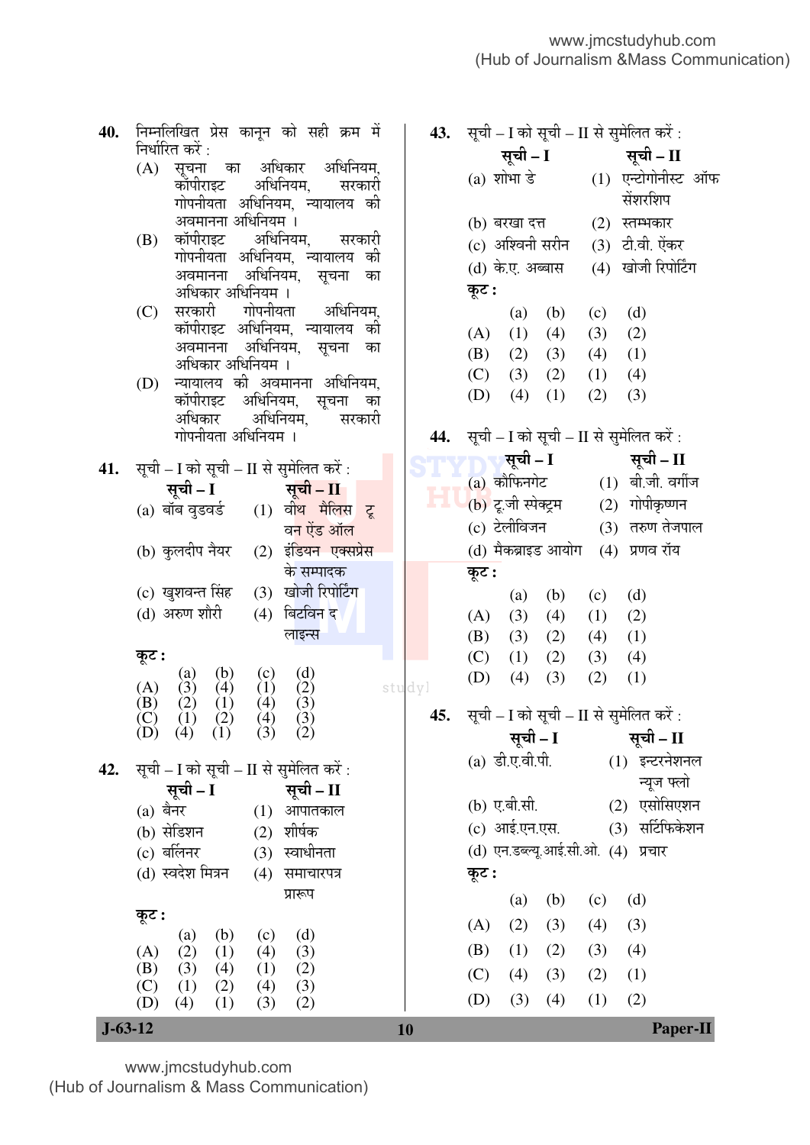| 40.           | निम्नलिखित प्रेस कानून को सही क्रम में                                                                      | <b>43.</b> सूची – I को सूची – II से सुमेलित करें : |                                         |          |     |                     |
|---------------|-------------------------------------------------------------------------------------------------------------|----------------------------------------------------|-----------------------------------------|----------|-----|---------------------|
|               | निर्धारित करें :<br>सूचना का अधिकार अधिनियम,                                                                |                                                    | सूची – I                                |          |     | सूची – II           |
|               | (A)<br>काँपीराइट अधिनियम,<br>सरकारी                                                                         |                                                    | (a) शोभा डे                             |          |     | (1) एन्टोगोनीस्ट ऑफ |
|               | गोपनीयता अधिनियम, न्यायालय की                                                                               |                                                    |                                         |          |     | सेंशरशिप            |
|               | अवमानना अधिनियम <sup>1</sup>                                                                                |                                                    | (b) बरखा दत्त                           |          |     | $(2)$ स्तम्भकार     |
|               | कॉपीराइट<br>अधिनियम,<br>सरकारी<br>(B)                                                                       |                                                    | (c) अश्विनी सरीन                        |          |     | (3) टी.वी. ऐंकर     |
|               | गोपनीयता अधिनियम, न्यायालय की                                                                               |                                                    | (d) के.ए. अब्बास                        |          |     | (4) खोजी रिपोर्टिंग |
|               | अवमानना अधिनियम,<br>सूचना<br>का<br>अधिकार अधिनियम ।                                                         |                                                    | कूट :                                   |          |     |                     |
|               | गोपनीयता<br>अधिनियम,<br>सरकारी<br>(C)                                                                       |                                                    | (a)                                     | (b)      | (c) | (d)                 |
|               | कॉपीराइट अधिनियम, न्यायालय की                                                                               |                                                    | (1)<br>(A)                              | (4)      | (3) | (2)                 |
|               | अवमानना अधिनियम,<br>सूचना<br>का                                                                             |                                                    | (B)<br>(2)                              | (3)      | (4) | (1)                 |
|               | अधिकार अधिनियम ।                                                                                            |                                                    | (C)<br>(3)                              | (2)      | (1) | (4)                 |
|               | न्यायालय की अवमानना अधिनियम,<br>(D)                                                                         |                                                    | (D)<br>(4)                              | (1)      | (2) | (3)                 |
|               | कॉपीराइट अधिनियम, सूचना<br>का<br>अधिनियम,<br>अधिकार                                                         |                                                    |                                         |          |     |                     |
|               | सरकारी<br>गोपनीयता अधिनियम ।                                                                                | 44.                                                | सूची - I को सूची - II से सुमेलित करें:  |          |     |                     |
| 41.           | सूची – I को सूची – II से सुमेलित करें :                                                                     |                                                    | ∤सूची – I                               |          |     | सूची – II           |
|               | सूची – I सू <mark>ची – II</mark>                                                                            |                                                    | (a) कौफिनगेट                            |          |     | $(1)$ बी.जी. वर्गीज |
|               | (1) वीथ मैलिस टू<br>(a) बॉब वुडवर्ड                                                                         |                                                    | (b) टू.जी स्पेक्ट्रम                    |          |     | $(2)$ गोपीकृष्णन    |
|               | वन ऐंड ऑल                                                                                                   |                                                    | (c) टेलीविजन                            |          |     | (3) तरुण तेजपाल     |
|               | इंडियन एक्सप्रेस<br>(b) कुलदीप नैयर<br>(2)                                                                  |                                                    | (d) मैकब्राइड आयोग                      |          |     | $(4)$ प्रणव रॉय     |
|               | के सम्पादक                                                                                                  |                                                    | कूट :                                   |          |     |                     |
|               | खोजी रिपोर्टिंग<br>(c) खुशवन्त सिंह<br>(3)                                                                  |                                                    | (a)                                     | (b)      | (c) | (d)                 |
|               | (d) अरुण शौरी<br>बिटविन द<br>(4)                                                                            |                                                    | (3)<br>(A)                              | (4)      | (1) | (2)                 |
|               | लाइन्स                                                                                                      |                                                    | (3)<br>(B)                              | (2)      | (4) | (1)                 |
|               | कूट :                                                                                                       |                                                    | (C)<br>(1)                              | (2)      | (3) | (4)                 |
|               | (d)<br>(b)<br>(a)<br>(c)                                                                                    |                                                    | (D)<br>(4)                              | (3)      | (2) | (1)                 |
|               | (4)<br>(A)<br>(3)<br>(1)<br>(1)<br>(4)<br>(B)<br>(2)                                                        | studyl                                             |                                         |          |     |                     |
|               | $\begin{pmatrix} 2 \\ 3 \\ 3 \end{pmatrix}$<br>$\begin{pmatrix} 1 & 2 \\ 4 & 1 \end{pmatrix}$<br>(C)<br>(4) | 45.                                                | सूची – I को सूची – II से सुमेलित करें : |          |     |                     |
|               | (3)<br>$\zeta(2)$<br>(D)                                                                                    |                                                    |                                         | सूची – I |     | सूची – II           |
| 42.           | सूची – I को सूची – II से सुमेलित करें :                                                                     |                                                    | (a) डी.ए.वी.पी.                         |          |     | (1) इन्टरनेशनल      |
|               | सूची – II<br>सूची – I                                                                                       |                                                    |                                         |          |     | न्यूज फ्लो          |
|               | (a) बैनर<br>(1) आपातकाल                                                                                     |                                                    | (b) ए.बी.सी.                            |          |     | (2) एसोसिएशन        |
|               | (b) सेडिशन<br>$(2)$ शीर्षक                                                                                  |                                                    | (c) आई.एन.एस.                           |          |     | $(3)$ सर्टिफिकेशन   |
|               | (3) स्वाधीनता<br>(c) बर्लिनर                                                                                |                                                    | (d) एन.डब्ल्यू.आई.सी.ओ. (4) प्रचार      |          |     |                     |
|               | (d) स्वदेश मित्रन<br>(4)<br>समाचारपत्र                                                                      |                                                    | कूट :                                   |          |     |                     |
|               | प्रारूप                                                                                                     |                                                    |                                         |          |     |                     |
|               | कूट :                                                                                                       |                                                    | (a)                                     | (b)      | (c) | (d)                 |
|               | (d)<br>(b)<br>(c)<br>(a)                                                                                    |                                                    | (2)<br>(A)                              | (3)      | (4) | (3)                 |
|               | (A)<br>(1)<br>(4)<br>(3)<br>(2)                                                                             |                                                    | (1)<br>(B)                              | (2)      | (3) | (4)                 |
|               | (4)<br>(B)<br>(3)<br>(1)<br>(2)                                                                             |                                                    | (C)<br>(4)                              | (3)      | (2) | (1)                 |
|               | (C)<br>(3)<br>(1)<br>(2)<br>(4)<br>(D)<br>(4)<br>(1)<br>(3)<br>(2)                                          |                                                    | (3)<br>(D)                              | (4)      | (1) | (2)                 |
| $J - 63 - 12$ |                                                                                                             |                                                    |                                         |          |     |                     |
|               |                                                                                                             | 10                                                 |                                         |          |     | <b>Paper-II</b>     |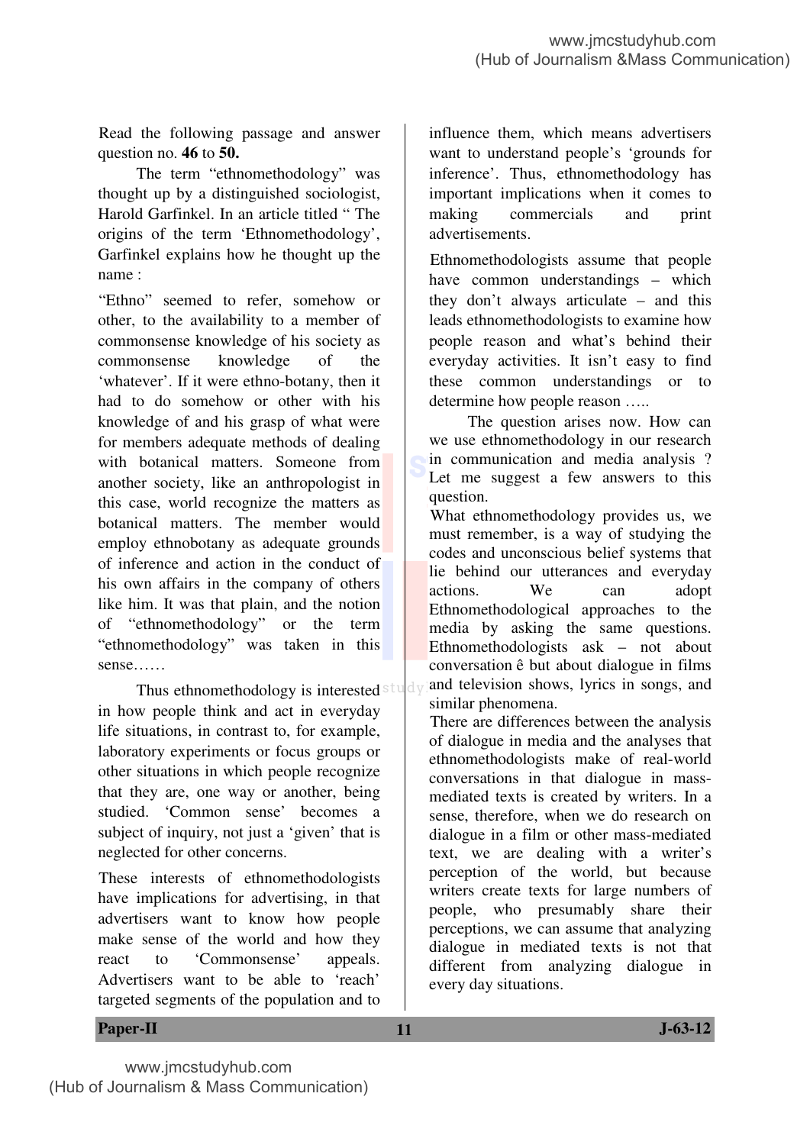Read the following passage and answer question no. **46** to **50.**

The term "ethnomethodology" was thought up by a distinguished sociologist, Harold Garfinkel. In an article titled " The origins of the term 'Ethnomethodology', Garfinkel explains how he thought up the name :

another society, like an anthropologist in<br>
this case, world recognize the matters as<br>
botanical matters. The member would of others<br>the notion<br>the term<br>and the state of the set of the set of the set of the set of the set of the set of the set of the set of the set of the set of the set of the set of the set of the set of the set of the set of "Ethno" seemed to refer, somehow or other, to the availability to a member of commonsense knowledge of his society as commonsense knowledge of the 'whatever'. If it were ethno-botany, then it had to do somehow or other with his knowledge of and his grasp of what were for members adequate methods of dealing with botanical matters. Someone from this case, world recognize the matters as botanical matters. The member would employ ethnobotany as adequate grounds of inference and action in the conduct of his own affairs in the company of others like him. It was that plain, and the notion of "ethnomethodology" or the term "ethnomethodology" was taken in this sense……

Thus ethnomethodology is interested  $\frac{1}{2}$  and televis in how people think and act in everyday life situations, in contrast to, for example, laboratory experiments or focus groups or other situations in which people recognize that they are, one way or another, being studied. 'Common sense' becomes a subject of inquiry, not just a 'given' that is neglected for other concerns.

These interests of ethnomethodologists have implications for advertising, in that advertisers want to know how people make sense of the world and how they react to 'Commonsense' appeals. Advertisers want to be able to 'reach' targeted segments of the population and to

influence them, which means advertisers want to understand people's 'grounds for inference'. Thus, ethnomethodology has important implications when it comes to making commercials and print advertisements.

Ethnomethodologists assume that people have common understandings – which they don't always articulate – and this leads ethnomethodologists to examine how people reason and what's behind their everyday activities. It isn't easy to find these common understandings or to determine how people reason …..

we use ethnomethodology in our research In communication and media analysis?<br>Let me suggest a few answers to this question. The question arises now. How can in communication and media analysis ?

What ethnomethodology provides us, we must remember, is a way of studying the codes and unconscious belief systems that lie behind our utterances and everyday actions. We can adopt Ethnomethodological approaches to the media by asking the same questions. Ethnomethodologists ask – not about conversation ê but about dialogue in films and television shows, lyrics in songs, and similar phenomena.

There are differences between the analysis of dialogue in media and the analyses that ethnomethodologists make of real-world conversations in that dialogue in massmediated texts is created by writers. In a sense, therefore, when we do research on dialogue in a film or other mass-mediated text, we are dealing with a writer's perception of the world, but because writers create texts for large numbers of people, who presumably share their perceptions, we can assume that analyzing dialogue in mediated texts is not that different from analyzing dialogue in every day situations.

## **Paper-II 11 J-63-12**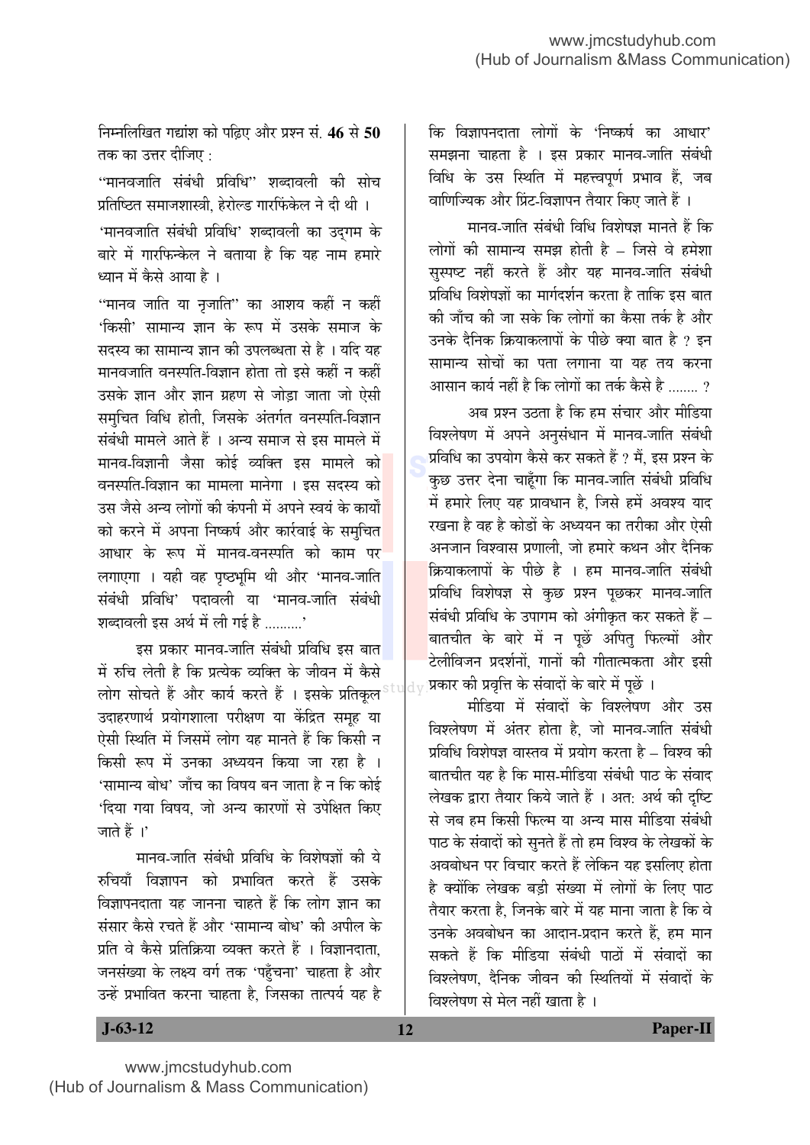×®Ö´®Ö×»Ö×ÜÖŸÖ ÝÖªÖÓ¿Ö ÛúÖê ¯ÖלÌü‹ †Öî¸ü ¯ÖÏ¿®Ö ÃÖÓ. **46** ÃÖê **50** तक का उत्तर दीजिए :

"मानवजाति संबंधी प्रविधि" शब्दावली की सोच प्रतिष्ठित समाजशास्त्री. हेरोल्ड गारफिंकेल ने दी थी । 'मानवजाति संबंधी प्रविधि' शब्दावली का उदगम के बारे में गारफिन्केल ने बताया है कि यह नाम हमारे ध्यान में कैसे आया है ।

सदस्य<br>यं के क<br>के समगि - प्राचन्नगाल<br>नाति संबंधी | प्रविधि वि<br>- बातचीत  $\cdot$ भानव जाति या नुजाति $\cdot$  का आशय कहीं न कहीं 'किसी' सामान्य ज्ञान के रूप में उसके समाज के सदस्य का सामान्य ज्ञान की उपलब्धता से है । यदि यह मानवजाति वनस्पति-विज्ञान होता तो इसे कहीं न कहीं उसके ज्ञान और ज्ञान ग्रहण से जोड़ा जाता जो ऐसी समचित विधि होती. जिसके अंतर्गत वनस्पति-विज्ञान संबंधी मामले आते हैं । अन्य समाज से इस मामले में .<br>मानव-विज्ञानी जैसा कोई व्यक्ति इस मामले को <u>वनस्पति-विज्ञान का मामला मानेगा । इस सदस्य को</u> उस जैसे अन्य लोगों की कंपनी में अपने स्वयं के कार्यों<mark>।</mark> को करने में अपना निष्कर्ष और कार्रवाई के समचित आधार के रूप में मानव-वनस्पति को काम पर लगाएगा । यही वह पृष्ठभूमि थी और 'मानव-जाति संबंधी प्रविधि' पदावली या 'मानव-जाति संबंधी शब्दावली इस अर्थ में ली गई है .........'

लोग सोचते हैं और कार्य करते हैं । इसके प्रतिकूल<sup>studyi</sub>yकार का प्रवृ</sup> इस प्रकार मानव-जाति संबंधी प्रविधि इस बात में रुचि लेती है कि प्रत्येक व्यक्ति के जीवन में कैसे उदाहरणार्थ प्रयोगशाला परीक्षण या केंद्रित समुह या ऐसी स्थिति में जिसमें लोग यह मानते हैं कि किसी न किसी रूप में उनका अध्ययन किया जा रहा है । 'सामान्य बोध' जाँच का विषय बन जाता है न कि कोई 'दिया गया विषय. जो अन्य कारणों से उपेक्षित किए जाते हैं ।'

<u>मानव-जाति संबंधी प्रविधि के विशेषज्ञों की ये</u> रुचियाँ विज्ञापन को प्रभावित करते हैं उसके <u>विज्ञापनदाता यह जानना चाहते हैं कि लोग ज्ञान का</u> संसार कैसे रचते हैं और 'सामान्य बोध' की अपील के प्रति वे कैसे प्रतिक्रिया व्यक्त करते हैं । विज्ञानदाता, जनसंख्या के लक्ष्य वर्ग तक 'पहँचना' चाहता है और उन्हें प्रभावित करना चाहता है. जिसका तात्पर्य यह है

कि विज्ञापनदाता लोगों के 'निष्कर्ष का आधार' समझना चाहता है । इस प्रकार मानव-जाति संबंधी विधि के उस स्थिति में महत्त्वपर्ण प्रभाव हैं. जब वाणिज्यिक और प्रिंट-विज्ञापन तैयार किए जाते हैं ।

मानव-जाति संबंधी विधि विशेषज्ञ मानते हैं कि लोगों की सामान्य समझ होती है – जिसे वे हमेशा सुस्पष्ट नहीं करते हैं और यह मानव-जाति संबंधी प्रविधि विशेषज्ञों का मार्गदर्शन करता है ताकि इस बात की जाँच की जा सके कि लोगों का कैसा तर्क है और उनके दैनिक क्रियाकलापों के पीछे क्या बात है ? इन सामान्य सोचों का पता लगाना या यह तय करना आसान कार्य नहीं है कि लोगों का तर्क कैसे है $\qquad$  ?

विश्लेषण में अपने अनुसंधान में मानव-जाति संबंधी<br>प **्** प्रावाध का उपयाग कस कर सकत ह*'*? म, इस प्रश्न क<br>ि कुछ उत्तर देना चाहूँगा कि मानव-जाति संबंधी प्रविधि ्<br>में हमारे लिए यह प्रावधान है, जिसे हमें अवश्य याद अब प्रश्न उतना है कि हम संचार और मीडिया प्रविधि का उपयोग कैसे कर सकते हैं ? मैं, इस प्रश्न के रखना है वह है कोडों के अध्ययन का तरीका और ऐसी अनजान विश्वास प्रणाली. जो हमारे कथन और दैनिक क्रियाकलापों के पीछे है । हम मानव-जाति संबंधी प्रविधि विशेषज्ञ से कुछ प्रश्न पृछकर मानव-जाति संबंधी प्रविधि के उपागम को अंगीकृत कर सकते हैं – बातचीत के बारे में न पूछें अपित<u>्</u> फिल्मों और टेलीविजन प्रदर्शनों, गानों की गीतात्मकता और इसी <u>प्रकार की प्रवत्ति के संवादों के बारे में पछें ।</u>

मीडिया में संवादों के विश्लेषण और उस विश्लेषण में अंतर होता है. जो मानव-जाति संबंधी प्रविधि विशेषज्ञ वास्तव में प्रयोग करता है – विश्व की बातचीत यह है कि मास-मीडिया संबंधी पाठ के संवाद लेखक द्वारा तैयार किये जाते हैं । अत: अर्थ की दष्टि से जब हम किसी फिल्म या अन्य मास मीडिया संबंधी <u>पाठ के संवादों को सनते हैं तो हम विश्व के लेखकों के </u> अवबोधन पर विचार करते हैं लेकिन यह इसलिए होता है क्योंकि लेखक बड़ी संख्या में लोगों के लिए पाठ तैयार करता है. जिनके बारे में यह माना जाता है कि वे उनके अवबोधन का आदान-प्रदान करते हैं, हम मान सकते हैं कि मीडिया संबंधी पाठों में संवादों का विश्लेषण, दैनिक जीवन की स्थितियों में संवादों के विश्लेषण से मेल नहीं खाता है ।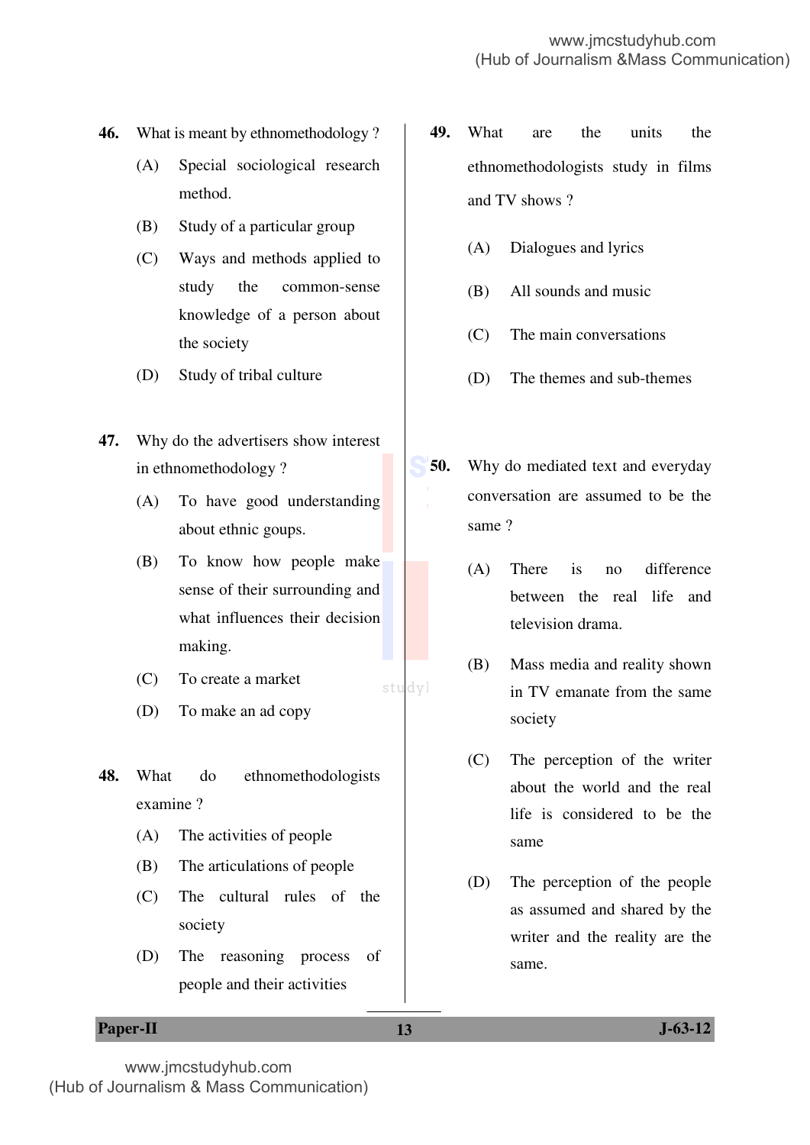- **46.** What is meant by ethnomethodology ?
	- (A) Special sociological research method.
	- (B) Study of a particular group
	- (C) Ways and methods applied to study the common-sense knowledge of a person about the society
	- (D) Study of tribal culture
- **47.** Why do the advertisers show interest in ethnomethodology ?
	- *<u>standi</u>* (A) To have good understanding about ethnic goups.
	- **M** M C CONTEXT (B) To know how people make sense of their surrounding and what influences their decision making.
	- (C) To create a market
	- (D) To make an ad copy
- **48.** What do ethnomethodologists examine ?
	- (A) The activities of people
	- (B) The articulations of people
	- (C) The cultural rules of the society
	- (D) The reasoning process of people and their activities
- **49.** What are the units the ethnomethodologists study in films and TV shows ?
	- (A) Dialogues and lyrics
	- (B) All sounds and music
	- (C) The main conversations
	- (D) The themes and sub-themes
- **ST0.** Why do mediated text and everyday conversation are assumed to be the same ?
	- (A) There is no difference between the real life and television drama.
	- (B) Mass media and reality shown in TV emanate from the same society
	- (C) The perception of the writer about the world and the real life is considered to be the same
	- (D) The perception of the people as assumed and shared by the writer and the reality are the same.

## **Paper-II 13 J-63-12**

studyl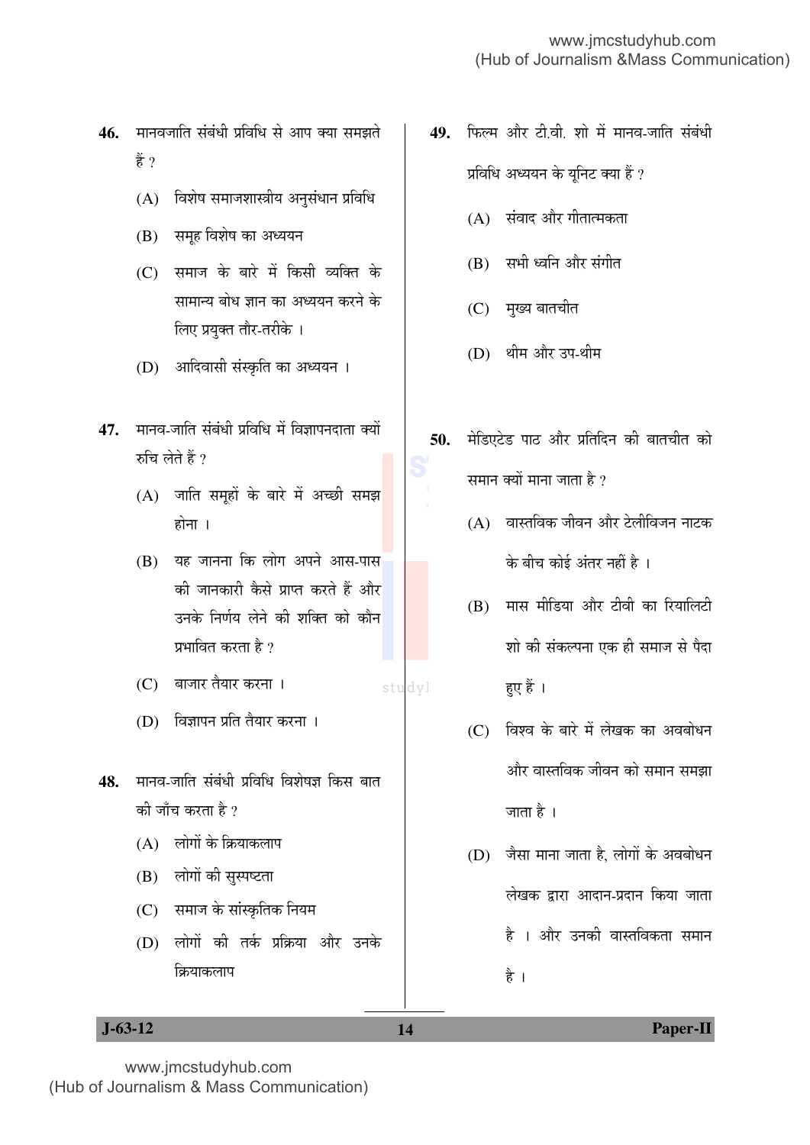- 46. मानवजाति संबंधी प्रविधि से आप क्या समझते हैं ?
	- $(A)$  विशेष समाजशास्त्रीय अनुसंधान प्रविधि
	- (B) समूह विशेष का अध्ययन
	- (C) समाज के बारे में किसी व्यक्ति के सामान्य बोध ज्ञान का अध्ययन करने के लिए प्रयुक्त तौर-तरीके ।
	- (D) आदिवासी संस्कृति का अध्ययन ।
- 47. मानव-जाति संबंधी प्रविधि में विज्ञापनदाता क्यों रुचि लेते हैं ?
	- च्छी सम्<br> (A) जाति समूहों के बारे में अच्छी समझ होना ।
	- मरते हैं और<br>स्त को कौन <mark>(B</mark>  $(B)$  यह जानना कि लोग अपने आस-पास की जानकारी कैसे प्राप्त करते हैं और उनके निर्णय लेने की शक्ति को कौन प्रभावित करता है ?
	- studyl (C) बाजार तैयार करना ।
	- (D) विज्ञापन प्रति तैयार करना ।
- 48. मानव-जाति संबंधी प्रविधि विशेषज्ञ किस बात की जाँच करता है ?
	- $(A)$  लोगों के क्रियाकलाप
	- (B) लोगों की सुस्पष्टता
	- (C) समाज के सांस्कृतिक नियम
	- (D) लोगों की तर्क प्रक्रिया और उनके क्रियाकलाप
- 49. फिल्म और टीवी शो में मानव-जाति संबंधी प्रविधि अध्ययन के युनिट क्या हैं ?
	- $(A)$  संवाद और गीतात्मकता
	- $(B)$  सभी ध्वनि और संगीत
	- (C) मुख्य बातचीत
	- (D) थीम और उप-थीम
- 50. मेडिएटेड पाठ और प्रतिदिन की बातचीत को **S**<br>उसमान क्यों माना जाता है ? **HUBB**<br>**HUBB** 
	- $(A)$  वास्तविक जीवन और टेलीविजन नाटक के बीच कोई अंतर नहीं है ।
	- $(B)$  मास मीडिया और टीवी का रियालिटी शो की संकल्पना एक ही समाज से पैदा हुए हैं ।
	- $(C)$  विश्व के बारे में लेखक का अवबोधन ओर वास्तविक जीवन को समान समझा जाता है ।
	- (D) जैसा माना जाता है, लोगों के अवबोधन लेखक द्वारा आदान-प्रदान किया जाता है । और उनकी वास्तविकता समान है ।

 **J-63-12 14 Paper-II**